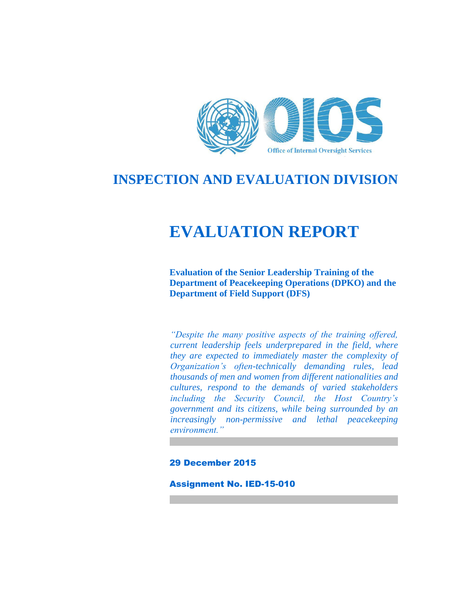

# **INSPECTION AND EVALUATION DIVISION**

# **EVALUATION REPORT**

**Evaluation of the Senior Leadership Training of the Department of Peacekeeping Operations (DPKO) and the Department of Field Support (DFS)**

*"Despite the many positive aspects of the training offered, current leadership feels underprepared in the field, where they are expected to immediately master the complexity of Organization's often-technically demanding rules, lead thousands of men and women from different nationalities and cultures, respond to the demands of varied stakeholders including the Security Council, the Host Country's government and its citizens, while being surrounded by an increasingly non-permissive and lethal peacekeeping environment."*

#### 29 December 2015

Assignment No. IED-15-010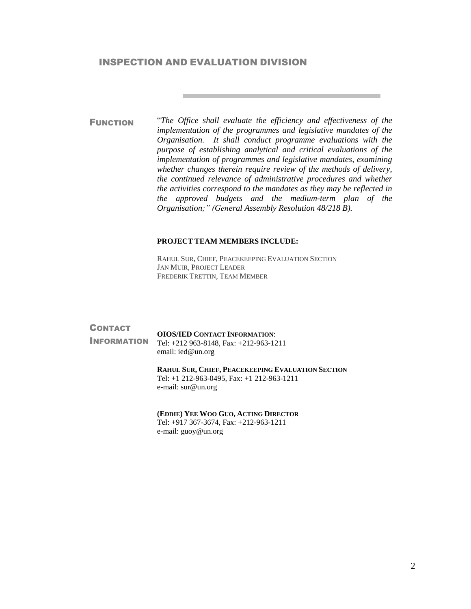#### INSPECTION AND EVALUATION DIVISION

FUNCTION "*The Office shall evaluate the efficiency and effectiveness of the implementation of the programmes and legislative mandates of the Organisation. It shall conduct programme evaluations with the purpose of establishing analytical and critical evaluations of the implementation of programmes and legislative mandates, examining whether changes therein require review of the methods of delivery, the continued relevance of administrative procedures and whether the activities correspond to the mandates as they may be reflected in the approved budgets and the medium-term plan of the Organisation;" (General Assembly Resolution 48/218 B).*

#### **PROJECT TEAM MEMBERS INCLUDE:**

RAHUL SUR, CHIEF, PEACEKEEPING EVALUATION SECTION JAN MUIR, PROJECT LEADER FREDERIK TRETTIN, TEAM MEMBER

#### **CONTACT** INFORMATION **OIOS/IED CONTACT INFORMATION**: Tel: +212 963-8148, Fax: +212-963-1211 email[: ied@un.org](mailto:ied@un.org) **RAHUL SUR, CHIEF, PEACEKEEPING EVALUATION SECTION** Tel: +1 212-963-0495, Fax: +1 212-963-1211 e-mail: [sur@un.org](mailto:sur@un.org)

#### **(EDDIE) YEE WOO GUO, ACTING DIRECTOR**

Tel: +917 367-3674, Fax: +212-963-1211 e-mail: [guoy@un.org](mailto:guoy@un.org)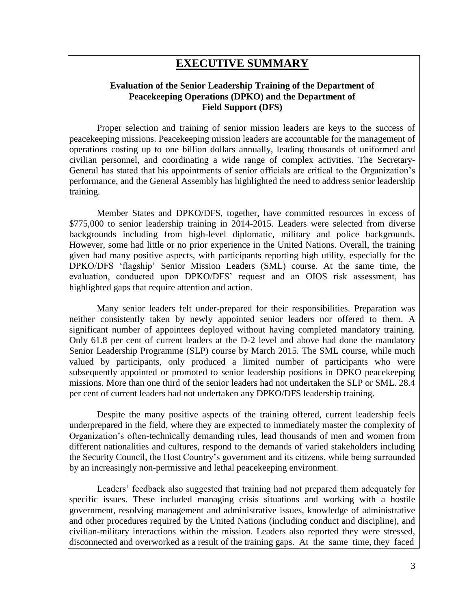## **EXECUTIVE SUMMARY**

### **Evaluation of the Senior Leadership Training of the Department of Peacekeeping Operations (DPKO) and the Department of Field Support (DFS)**

Proper selection and training of senior mission leaders are keys to the success of peacekeeping missions. Peacekeeping mission leaders are accountable for the management of operations costing up to one billion dollars annually, leading thousands of uniformed and civilian personnel, and coordinating a wide range of complex activities. The Secretary-General has stated that his appointments of senior officials are critical to the Organization's performance, and the General Assembly has highlighted the need to address senior leadership training.

Member States and DPKO/DFS, together, have committed resources in excess of \$775,000 to senior leadership training in 2014-2015. Leaders were selected from diverse backgrounds including from high-level diplomatic, military and police backgrounds. However, some had little or no prior experience in the United Nations. Overall, the training given had many positive aspects, with participants reporting high utility, especially for the DPKO/DFS 'flagship' Senior Mission Leaders (SML) course. At the same time, the evaluation, conducted upon DPKO/DFS' request and an OIOS risk assessment, has highlighted gaps that require attention and action.

Many senior leaders felt under-prepared for their responsibilities. Preparation was neither consistently taken by newly appointed senior leaders nor offered to them. A significant number of appointees deployed without having completed mandatory training. Only 61.8 per cent of current leaders at the D-2 level and above had done the mandatory Senior Leadership Programme (SLP) course by March 2015. The SML course, while much valued by participants, only produced a limited number of participants who were subsequently appointed or promoted to senior leadership positions in DPKO peacekeeping missions. More than one third of the senior leaders had not undertaken the SLP or SML. 28.4 per cent of current leaders had not undertaken any DPKO/DFS leadership training.

Despite the many positive aspects of the training offered, current leadership feels underprepared in the field, where they are expected to immediately master the complexity of Organization's often-technically demanding rules, lead thousands of men and women from different nationalities and cultures, respond to the demands of varied stakeholders including the Security Council, the Host Country's government and its citizens, while being surrounded by an increasingly non-permissive and lethal peacekeeping environment.

Leaders' feedback also suggested that training had not prepared them adequately for specific issues. These included managing crisis situations and working with a hostile government, resolving management and administrative issues, knowledge of administrative and other procedures required by the United Nations (including conduct and discipline), and civilian-military interactions within the mission. Leaders also reported they were stressed, disconnected and overworked as a result of the training gaps. At the same time, they faced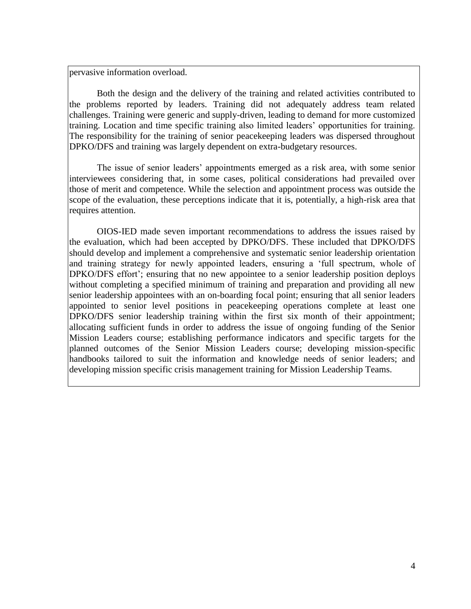pervasive information overload.

Both the design and the delivery of the training and related activities contributed to the problems reported by leaders. Training did not adequately address team related challenges. Training were generic and supply-driven, leading to demand for more customized training. Location and time specific training also limited leaders' opportunities for training. The responsibility for the training of senior peacekeeping leaders was dispersed throughout DPKO/DFS and training was largely dependent on extra-budgetary resources.

The issue of senior leaders' appointments emerged as a risk area, with some senior interviewees considering that, in some cases, political considerations had prevailed over those of merit and competence. While the selection and appointment process was outside the scope of the evaluation, these perceptions indicate that it is, potentially, a high-risk area that requires attention.

OIOS-IED made seven important recommendations to address the issues raised by the evaluation, which had been accepted by DPKO/DFS. These included that DPKO/DFS should develop and implement a comprehensive and systematic senior leadership orientation and training strategy for newly appointed leaders, ensuring a 'full spectrum, whole of DPKO/DFS effort'; ensuring that no new appointee to a senior leadership position deploys without completing a specified minimum of training and preparation and providing all new senior leadership appointees with an on-boarding focal point; ensuring that all senior leaders appointed to senior level positions in peacekeeping operations complete at least one DPKO/DFS senior leadership training within the first six month of their appointment; allocating sufficient funds in order to address the issue of ongoing funding of the Senior Mission Leaders course; establishing performance indicators and specific targets for the planned outcomes of the Senior Mission Leaders course; developing mission-specific handbooks tailored to suit the information and knowledge needs of senior leaders; and developing mission specific crisis management training for Mission Leadership Teams.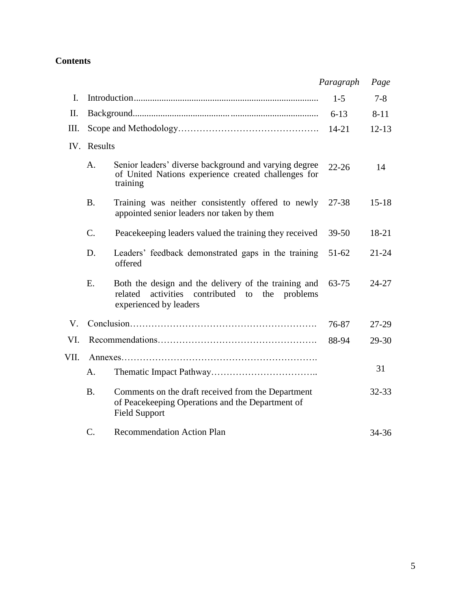## **Contents**

|      |             |                                                                                                                                     | Paragraph | Page      |
|------|-------------|-------------------------------------------------------------------------------------------------------------------------------------|-----------|-----------|
| I.   |             |                                                                                                                                     | $1-5$     | $7 - 8$   |
| II.  |             |                                                                                                                                     | $6 - 13$  | $8 - 11$  |
| III. |             |                                                                                                                                     | $14 - 21$ | $12 - 13$ |
|      | IV. Results |                                                                                                                                     |           |           |
|      | A.          | Senior leaders' diverse background and varying degree<br>of United Nations experience created challenges for<br>training            | $22 - 26$ | 14        |
|      | <b>B.</b>   | Training was neither consistently offered to newly<br>appointed senior leaders nor taken by them                                    | 27-38     | $15 - 18$ |
|      | C.          | Peacekeeping leaders valued the training they received                                                                              | $39 - 50$ | 18-21     |
|      | D.          | Leaders' feedback demonstrated gaps in the training<br>offered                                                                      | $51-62$   | $21 - 24$ |
|      | E.          | Both the design and the delivery of the training and<br>related activities contributed to the<br>problems<br>experienced by leaders | 63-75     | 24-27     |
| V.   |             |                                                                                                                                     | 76-87     | 27-29     |
| VI.  |             |                                                                                                                                     | 88-94     | 29-30     |
| VII. |             |                                                                                                                                     |           |           |
|      | A.          |                                                                                                                                     |           | 31        |
|      | <b>B.</b>   | Comments on the draft received from the Department<br>of Peacekeeping Operations and the Department of<br><b>Field Support</b>      |           | $32 - 33$ |
|      | $C_{\cdot}$ | <b>Recommendation Action Plan</b>                                                                                                   |           | 34-36     |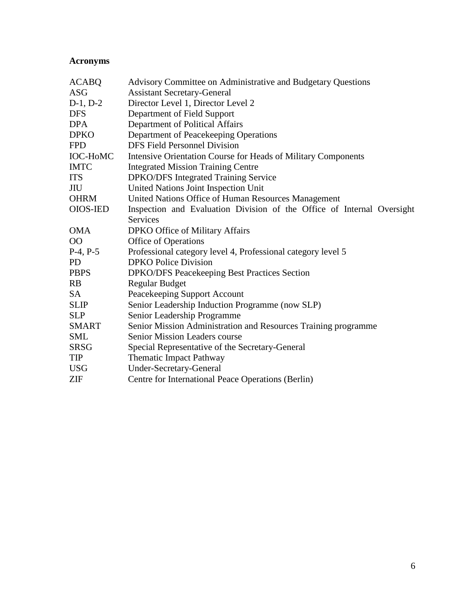## **Acronyms**

| <b>ACABQ</b>    | Advisory Committee on Administrative and Budgetary Questions           |
|-----------------|------------------------------------------------------------------------|
| <b>ASG</b>      | <b>Assistant Secretary-General</b>                                     |
| $D-1, D-2$      | Director Level 1, Director Level 2                                     |
| <b>DFS</b>      | Department of Field Support                                            |
| <b>DPA</b>      | Department of Political Affairs                                        |
| <b>DPKO</b>     | Department of Peacekeeping Operations                                  |
| <b>FPD</b>      | <b>DFS Field Personnel Division</b>                                    |
| <b>IOC-HoMC</b> | Intensive Orientation Course for Heads of Military Components          |
| <b>IMTC</b>     | <b>Integrated Mission Training Centre</b>                              |
| <b>ITS</b>      | <b>DPKO/DFS</b> Integrated Training Service                            |
| JIU             | United Nations Joint Inspection Unit                                   |
| <b>OHRM</b>     | United Nations Office of Human Resources Management                    |
| <b>OIOS-IED</b> | Inspection and Evaluation Division of the Office of Internal Oversight |
|                 | <b>Services</b>                                                        |
| <b>OMA</b>      | DPKO Office of Military Affairs                                        |
| 00              | <b>Office of Operations</b>                                            |
| $P-4, P-5$      | Professional category level 4, Professional category level 5           |
| <b>PD</b>       | <b>DPKO Police Division</b>                                            |
| <b>PBPS</b>     | <b>DPKO/DFS Peacekeeping Best Practices Section</b>                    |
| <b>RB</b>       | <b>Regular Budget</b>                                                  |
| SA              | Peacekeeping Support Account                                           |
| <b>SLIP</b>     | Senior Leadership Induction Programme (now SLP)                        |
| <b>SLP</b>      | Senior Leadership Programme                                            |
| <b>SMART</b>    | Senior Mission Administration and Resources Training programme         |
| <b>SML</b>      | Senior Mission Leaders course                                          |
| <b>SRSG</b>     | Special Representative of the Secretary-General                        |
| <b>TIP</b>      | <b>Thematic Impact Pathway</b>                                         |
| <b>USG</b>      | <b>Under-Secretary-General</b>                                         |
| ZIF             | Centre for International Peace Operations (Berlin)                     |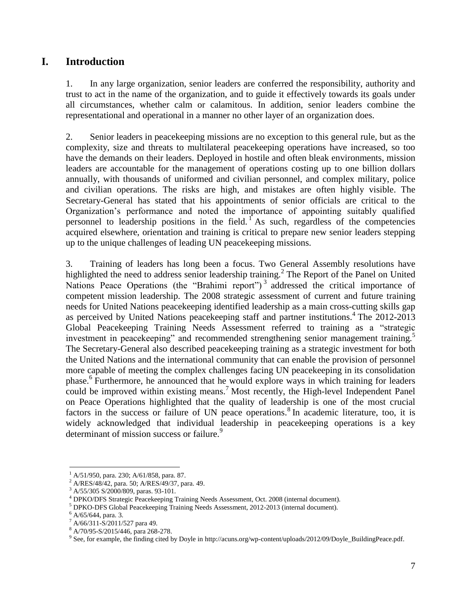## **I. Introduction**

1. In any large organization, senior leaders are conferred the responsibility, authority and trust to act in the name of the organization, and to guide it effectively towards its goals under all circumstances, whether calm or calamitous. In addition, senior leaders combine the representational and operational in a manner no other layer of an organization does.

2. Senior leaders in peacekeeping missions are no exception to this general rule, but as the complexity, size and threats to multilateral peacekeeping operations have increased, so too have the demands on their leaders. Deployed in hostile and often bleak environments, mission leaders are accountable for the management of operations costing up to one billion dollars annually, with thousands of uniformed and civilian personnel, and complex military, police and civilian operations. The risks are high, and mistakes are often highly visible. The Secretary-General has stated that his appointments of senior officials are critical to the Organization's performance and noted the importance of appointing suitably qualified personnel to leadership positions in the field. As such, regardless of the competencies acquired elsewhere, orientation and training is critical to prepare new senior leaders stepping up to the unique challenges of leading UN peacekeeping missions.

3. Training of leaders has long been a focus. Two General Assembly resolutions have highlighted the need to address senior leadership training.<sup>2</sup> The Report of the Panel on United Nations Peace Operations (the "Brahimi report")<sup>3</sup> addressed the critical importance of competent mission leadership. The 2008 strategic assessment of current and future training needs for United Nations peacekeeping identified leadership as a main cross-cutting skills gap as perceived by United Nations peacekeeping staff and partner institutions. 4 The 2012-2013 Global Peacekeeping Training Needs Assessment referred to training as a "strategic investment in peacekeeping" and recommended strengthening senior management training.<sup>5</sup> The Secretary-General also described peacekeeping training as a strategic investment for both the United Nations and the international community that can enable the provision of personnel more capable of meeting the complex challenges facing UN peacekeeping in its consolidation phase.<sup>6</sup> Furthermore, he announced that he would explore ways in which training for leaders could be improved within existing means. <sup>7</sup> Most recently, the High-level Independent Panel on Peace Operations highlighted that the quality of leadership is one of the most crucial factors in the success or failure of UN peace operations.<sup>8</sup> In academic literature, too, it is widely acknowledged that individual leadership in peacekeeping operations is a key determinant of mission success or failure.<sup>9</sup>

 $<sup>1</sup>$  A/51/950, para. 230; A/61/858, para. 87.</sup>

<sup>2</sup> A/RES/48/42, para. 50; A/RES/49/37, para. 49.

<sup>3</sup> A/55/305 S/2000/809, paras. 93-101.

<sup>4</sup> DPKO/DFS Strategic Peacekeeping Training Needs Assessment, Oct. 2008 (internal document).

<sup>5</sup> DPKO-DFS Global Peacekeeping Training Needs Assessment, 2012-2013 (internal document).

 $6$  A/65/644, para. 3.

<sup>7</sup> A/66/311-S/2011/527 para 49.

<sup>8</sup> A/70/95-S/2015/446, para 268-278.

<sup>&</sup>lt;sup>9</sup> See, for example, the finding cited by Doyle in [http://acuns.org/wp-content/uploads/2012/09/Doyle\\_BuildingPeace.pdf.](http://acuns.org/wp-content/uploads/2012/09/Doyle_BuildingPeace.pdf)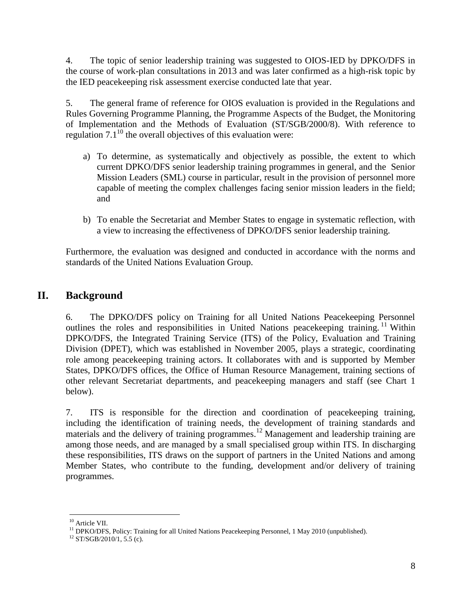4. The topic of senior leadership training was suggested to OIOS-IED by DPKO/DFS in the course of work-plan consultations in 2013 and was later confirmed as a high-risk topic by the IED peacekeeping risk assessment exercise conducted late that year.

5. The general frame of reference for OIOS evaluation is provided in the Regulations and Rules Governing Programme Planning, the Programme Aspects of the Budget, the Monitoring of Implementation and the Methods of Evaluation (ST/SGB/2000/8). With reference to regulation  $7.1^{10}$  the overall objectives of this evaluation were:

- a) To determine, as systematically and objectively as possible, the extent to which current DPKO/DFS senior leadership training programmes in general, and the Senior Mission Leaders (SML) course in particular, result in the provision of personnel more capable of meeting the complex challenges facing senior mission leaders in the field; and
- b) To enable the Secretariat and Member States to engage in systematic reflection, with a view to increasing the effectiveness of DPKO/DFS senior leadership training.

Furthermore, the evaluation was designed and conducted in accordance with the norms and standards of the United Nations Evaluation Group.

## **II. Background**

6. The DPKO/DFS policy on Training for all United Nations Peacekeeping Personnel outlines the roles and responsibilities in United Nations peacekeeping training.<sup>11</sup> Within DPKO/DFS, the Integrated Training Service (ITS) of the Policy, Evaluation and Training Division (DPET), which was established in November 2005, plays a strategic, coordinating role among peacekeeping training actors. It collaborates with and is supported by Member States, DPKO/DFS offices, the Office of Human Resource Management, training sections of other relevant Secretariat departments, and peacekeeping managers and staff (see Chart 1 below).

7. ITS is responsible for the direction and coordination of peacekeeping training, including the identification of training needs, the development of training standards and materials and the delivery of training programmes.<sup>12</sup> Management and leadership training are among those needs, and are managed by a small specialised group within ITS. In discharging these responsibilities, ITS draws on the support of partners in the United Nations and among Member States, who contribute to the funding, development and/or delivery of training programmes.

<sup>&</sup>lt;sup>10</sup> Article VII.

<sup>&</sup>lt;sup>11</sup> DPKO/DFS, Policy: Training for all United Nations Peacekeeping Personnel, 1 May 2010 (unpublished).

 $12$  ST/SGB/2010/1, 5.5 (c).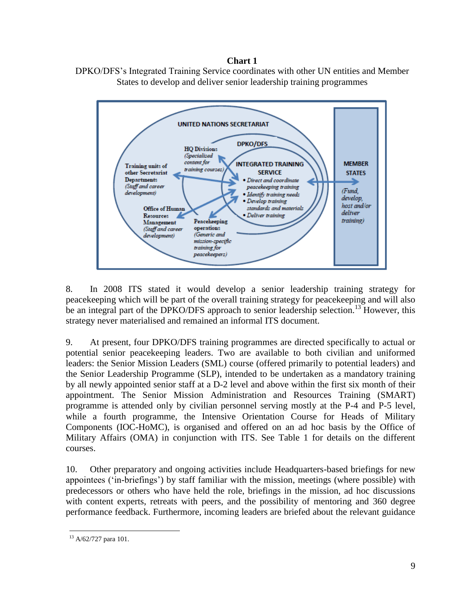## **Chart 1**





8. In 2008 ITS stated it would develop a senior leadership training strategy for peacekeeping which will be part of the overall training strategy for peacekeeping and will also be an integral part of the DPKO/DFS approach to senior leadership selection.<sup>13</sup> However, this strategy never materialised and remained an informal ITS document.

9. At present, four DPKO/DFS training programmes are directed specifically to actual or potential senior peacekeeping leaders. Two are available to both civilian and uniformed leaders: the Senior Mission Leaders (SML) course (offered primarily to potential leaders) and the Senior Leadership Programme (SLP), intended to be undertaken as a mandatory training by all newly appointed senior staff at a D-2 level and above within the first six month of their appointment. The Senior Mission Administration and Resources Training (SMART) programme is attended only by civilian personnel serving mostly at the P-4 and P-5 level, while a fourth programme, the Intensive Orientation Course for Heads of Military Components (IOC-HoMC), is organised and offered on an ad hoc basis by the Office of Military Affairs (OMA) in conjunction with ITS. See Table 1 for details on the different courses.

10. Other preparatory and ongoing activities include Headquarters-based briefings for new appointees ('in-briefings') by staff familiar with the mission, meetings (where possible) with predecessors or others who have held the role, briefings in the mission, ad hoc discussions with content experts, retreats with peers, and the possibility of mentoring and 360 degree performance feedback. Furthermore, incoming leaders are briefed about the relevant guidance

 $\overline{a}$ <sup>13</sup> A/62/727 para 101.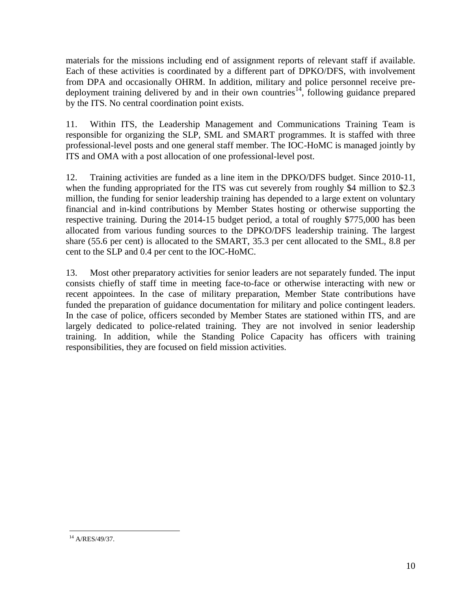materials for the missions including end of assignment reports of relevant staff if available. Each of these activities is coordinated by a different part of DPKO/DFS, with involvement from DPA and occasionally OHRM. In addition, military and police personnel receive predeployment training delivered by and in their own countries<sup>14</sup>, following guidance prepared by the ITS. No central coordination point exists.

11. Within ITS, the Leadership Management and Communications Training Team is responsible for organizing the SLP, SML and SMART programmes. It is staffed with three professional-level posts and one general staff member. The IOC-HoMC is managed jointly by ITS and OMA with a post allocation of one professional-level post.

12. Training activities are funded as a line item in the DPKO/DFS budget. Since 2010-11, when the funding appropriated for the ITS was cut severely from roughly \$4 million to \$2.3 million, the funding for senior leadership training has depended to a large extent on voluntary financial and in-kind contributions by Member States hosting or otherwise supporting the respective training. During the 2014-15 budget period, a total of roughly \$775,000 has been allocated from various funding sources to the DPKO/DFS leadership training. The largest share (55.6 per cent) is allocated to the SMART, 35.3 per cent allocated to the SML, 8.8 per cent to the SLP and 0.4 per cent to the IOC-HoMC.

13. Most other preparatory activities for senior leaders are not separately funded. The input consists chiefly of staff time in meeting face-to-face or otherwise interacting with new or recent appointees. In the case of military preparation, Member State contributions have funded the preparation of guidance documentation for military and police contingent leaders. In the case of police, officers seconded by Member States are stationed within ITS, and are largely dedicated to police-related training. They are not involved in senior leadership training. In addition, while the Standing Police Capacity has officers with training responsibilities, they are focused on field mission activities.

 $14$  A/RES/49/37.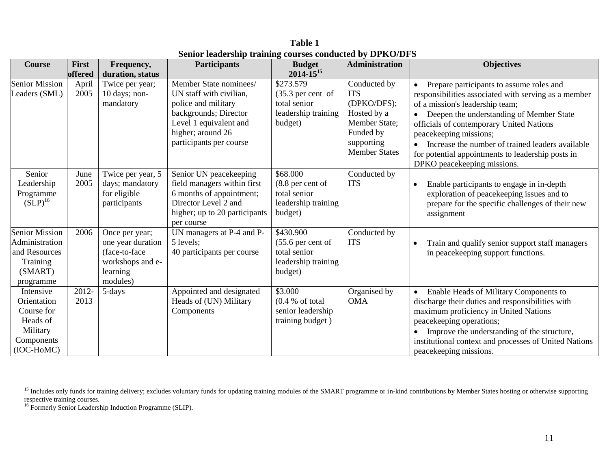**Table 1 Senior leadership training courses conducted by DPKO/DFS**

| <b>Course</b>                                                                                | First<br>offered | Frequency,<br>duration, status                                                                   | <b>Participants</b>                                                                                                                                                         | <b>Budget</b><br>$2014 - 15^{15}$                                                           | <b>Administration</b>                                                                                                        | <b>Objectives</b>                                                                                                                                                                                                                                                                                                                                                                             |
|----------------------------------------------------------------------------------------------|------------------|--------------------------------------------------------------------------------------------------|-----------------------------------------------------------------------------------------------------------------------------------------------------------------------------|---------------------------------------------------------------------------------------------|------------------------------------------------------------------------------------------------------------------------------|-----------------------------------------------------------------------------------------------------------------------------------------------------------------------------------------------------------------------------------------------------------------------------------------------------------------------------------------------------------------------------------------------|
| <b>Senior Mission</b><br>Leaders (SML)                                                       | April<br>2005    | Twice per year;<br>10 days; non-<br>mandatory                                                    | Member State nominees/<br>UN staff with civilian,<br>police and military<br>backgrounds; Director<br>Level 1 equivalent and<br>higher; around 26<br>participants per course | \$273.579<br>$(35.3 \text{ per cent of})$<br>total senior<br>leadership training<br>budget) | Conducted by<br><b>ITS</b><br>(DPKO/DFS);<br>Hosted by a<br>Member State;<br>Funded by<br>supporting<br><b>Member States</b> | Prepare participants to assume roles and<br>responsibilities associated with serving as a member<br>of a mission's leadership team;<br>Deepen the understanding of Member State<br>officials of contemporary United Nations<br>peacekeeping missions;<br>Increase the number of trained leaders available<br>for potential appointments to leadership posts in<br>DPKO peacekeeping missions. |
| Senior<br>Leadership<br>Programme<br>$(SLP)^{16}$                                            | June<br>2005     | Twice per year, 5<br>days; mandatory<br>for eligible<br>participants                             | Senior UN peacekeeping<br>field managers within first<br>6 months of appointment;<br>Director Level 2 and<br>higher; up to 20 participants<br>per course                    | \$68.000<br>$(8.8$ per cent of<br>total senior<br>leadership training<br>budget)            | Conducted by<br><b>ITS</b>                                                                                                   | Enable participants to engage in in-depth<br>$\bullet$<br>exploration of peacekeeping issues and to<br>prepare for the specific challenges of their new<br>assignment                                                                                                                                                                                                                         |
| <b>Senior Mission</b><br>Administration<br>and Resources<br>Training<br>(SMART)<br>programme | 2006             | Once per year;<br>one year duration<br>(face-to-face<br>workshops and e-<br>learning<br>modules) | UN managers at P-4 and P-<br>5 levels:<br>40 participants per course                                                                                                        | \$430.900<br>$(55.6$ per cent of<br>total senior<br>leadership training<br>budget)          | Conducted by<br><b>ITS</b>                                                                                                   | Train and qualify senior support staff managers<br>in peacekeeping support functions.                                                                                                                                                                                                                                                                                                         |
| Intensive<br>Orientation<br>Course for<br>Heads of<br>Military<br>Components<br>(IOC-HoMC)   | 2012-<br>2013    | 5-days                                                                                           | Appointed and designated<br>Heads of (UN) Military<br>Components                                                                                                            | \$3.000<br>(0.4 % of total)<br>senior leadership<br>training budget)                        | Organised by<br><b>OMA</b>                                                                                                   | Enable Heads of Military Components to<br>discharge their duties and responsibilities with<br>maximum proficiency in United Nations<br>peacekeeping operations;<br>Improve the understanding of the structure,<br>institutional context and processes of United Nations<br>peacekeeping missions.                                                                                             |

<sup>&</sup>lt;sup>15</sup> Includes only funds for training delivery; excludes voluntary funds for updating training modules of the SMART programme or in-kind contributions by Member States hosting or otherwise supporting respective training courses.

<sup>&</sup>lt;sup>16</sup> Formerly Senior Leadership Induction Programme (SLIP).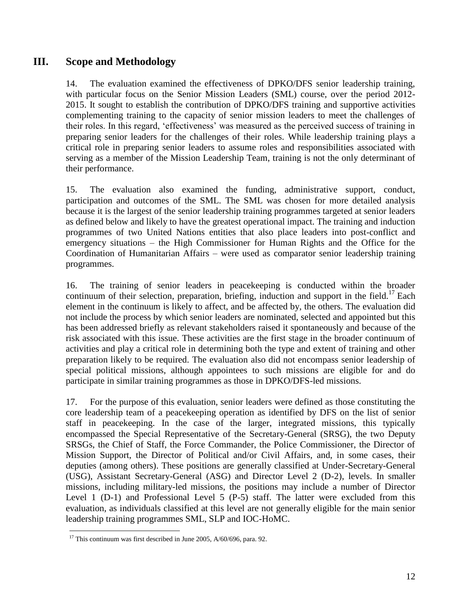## **III. Scope and Methodology**

14. The evaluation examined the effectiveness of DPKO/DFS senior leadership training, with particular focus on the Senior Mission Leaders (SML) course, over the period 2012- 2015. It sought to establish the contribution of DPKO/DFS training and supportive activities complementing training to the capacity of senior mission leaders to meet the challenges of their roles. In this regard, 'effectiveness' was measured as the perceived success of training in preparing senior leaders for the challenges of their roles. While leadership training plays a critical role in preparing senior leaders to assume roles and responsibilities associated with serving as a member of the Mission Leadership Team, training is not the only determinant of their performance.

15. The evaluation also examined the funding, administrative support, conduct, participation and outcomes of the SML. The SML was chosen for more detailed analysis because it is the largest of the senior leadership training programmes targeted at senior leaders as defined below and likely to have the greatest operational impact. The training and induction programmes of two United Nations entities that also place leaders into post-conflict and emergency situations – the High Commissioner for Human Rights and the Office for the Coordination of Humanitarian Affairs – were used as comparator senior leadership training programmes.

16. The training of senior leaders in peacekeeping is conducted within the broader continuum of their selection, preparation, briefing, induction and support in the field.<sup>17</sup> Each element in the continuum is likely to affect, and be affected by, the others. The evaluation did not include the process by which senior leaders are nominated, selected and appointed but this has been addressed briefly as relevant stakeholders raised it spontaneously and because of the risk associated with this issue. These activities are the first stage in the broader continuum of activities and play a critical role in determining both the type and extent of training and other preparation likely to be required. The evaluation also did not encompass senior leadership of special political missions, although appointees to such missions are eligible for and do participate in similar training programmes as those in DPKO/DFS-led missions.

17. For the purpose of this evaluation, senior leaders were defined as those constituting the core leadership team of a peacekeeping operation as identified by DFS on the list of senior staff in peacekeeping. In the case of the larger, integrated missions, this typically encompassed the Special Representative of the Secretary-General (SRSG), the two Deputy SRSGs, the Chief of Staff, the Force Commander, the Police Commissioner, the Director of Mission Support, the Director of Political and/or Civil Affairs, and, in some cases, their deputies (among others). These positions are generally classified at Under-Secretary-General (USG), Assistant Secretary-General (ASG) and Director Level 2 (D-2), levels. In smaller missions, including military-led missions, the positions may include a number of Director Level 1 (D-1) and Professional Level 5 (P-5) staff. The latter were excluded from this evaluation, as individuals classified at this level are not generally eligible for the main senior leadership training programmes SML, SLP and IOC-HoMC.

 $\overline{a}$  $17$  This continuum was first described in June 2005, A/60/696, para. 92.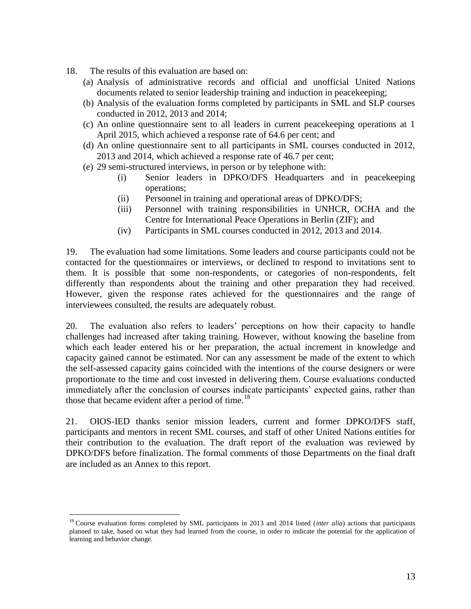- 18. The results of this evaluation are based on:
	- (a) Analysis of administrative records and official and unofficial United Nations documents related to senior leadership training and induction in peacekeeping;
	- (b) Analysis of the evaluation forms completed by participants in SML and SLP courses conducted in 2012, 2013 and 2014;
	- (c) An online questionnaire sent to all leaders in current peacekeeping operations at 1 April 2015, which achieved a response rate of 64.6 per cent; and
	- (d) An online questionnaire sent to all participants in SML courses conducted in 2012, 2013 and 2014, which achieved a response rate of 46.7 per cent;
	- (e) 29 semi-structured interviews, in person or by telephone with:
		- (i) Senior leaders in DPKO/DFS Headquarters and in peacekeeping operations;
		- (ii) Personnel in training and operational areas of DPKO/DFS;
		- (iii) Personnel with training responsibilities in UNHCR, OCHA and the Centre for International Peace Operations in Berlin (ZIF); and
		- (iv) Participants in SML courses conducted in 2012, 2013 and 2014.

19. The evaluation had some limitations. Some leaders and course participants could not be contacted for the questionnaires or interviews, or declined to respond to invitations sent to them. It is possible that some non-respondents, or categories of non-respondents, felt differently than respondents about the training and other preparation they had received. However, given the response rates achieved for the questionnaires and the range of interviewees consulted, the results are adequately robust.

20. The evaluation also refers to leaders' perceptions on how their capacity to handle challenges had increased after taking training. However, without knowing the baseline from which each leader entered his or her preparation, the actual increment in knowledge and capacity gained cannot be estimated. Nor can any assessment be made of the extent to which the self-assessed capacity gains coincided with the intentions of the course designers or were proportionate to the time and cost invested in delivering them. Course evaluations conducted immediately after the conclusion of courses indicate participants' expected gains, rather than those that became evident after a period of time.<sup>18</sup>

21. OIOS-IED thanks senior mission leaders, current and former DPKO/DFS staff, participants and mentors in recent SML courses, and staff of other United Nations entities for their contribution to the evaluation. The draft report of the evaluation was reviewed by DPKO/DFS before finalization. The formal comments of those Departments on the final draft are included as an Annex to this report.

<sup>&</sup>lt;sup>18</sup> Course evaluation forms completed by SML participants in 2013 and 2014 listed (*inter alia*) actions that participants planned to take, based on what they had learned from the course, in order to indicate the potential for the application of learning and behavior change.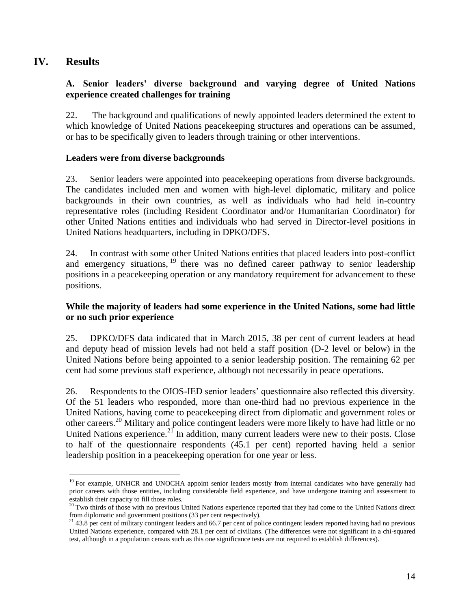## **IV. Results**

## **A. Senior leaders' diverse background and varying degree of United Nations experience created challenges for training**

22. The background and qualifications of newly appointed leaders determined the extent to which knowledge of United Nations peacekeeping structures and operations can be assumed, or has to be specifically given to leaders through training or other interventions.

## **Leaders were from diverse backgrounds**

23. Senior leaders were appointed into peacekeeping operations from diverse backgrounds. The candidates included men and women with high-level diplomatic, military and police backgrounds in their own countries, as well as individuals who had held in-country representative roles (including Resident Coordinator and/or Humanitarian Coordinator) for other United Nations entities and individuals who had served in Director-level positions in United Nations headquarters, including in DPKO/DFS.

24. In contrast with some other United Nations entities that placed leaders into post-conflict and emergency situations,  $19$  there was no defined career pathway to senior leadership positions in a peacekeeping operation or any mandatory requirement for advancement to these positions.

## **While the majority of leaders had some experience in the United Nations, some had little or no such prior experience**

25. DPKO/DFS data indicated that in March 2015, 38 per cent of current leaders at head and deputy head of mission levels had not held a staff position (D-2 level or below) in the United Nations before being appointed to a senior leadership position. The remaining 62 per cent had some previous staff experience, although not necessarily in peace operations.

26. Respondents to the OIOS-IED senior leaders' questionnaire also reflected this diversity. Of the 51 leaders who responded, more than one-third had no previous experience in the United Nations, having come to peacekeeping direct from diplomatic and government roles or other careers.<sup>20</sup> Military and police contingent leaders were more likely to have had little or no United Nations experience. $2^{2}$  In addition, many current leaders were new to their posts. Close to half of the questionnaire respondents (45.1 per cent) reported having held a senior leadership position in a peacekeeping operation for one year or less.

 $\overline{a}$ <sup>19</sup> For example, UNHCR and UNOCHA appoint senior leaders mostly from internal candidates who have generally had prior careers with those entities, including considerable field experience, and have undergone training and assessment to establish their capacity to fill those roles.

 $20$  Two thirds of those with no previous United Nations experience reported that they had come to the United Nations direct from diplomatic and government positions (33 per cent respectively).

<sup>&</sup>lt;sup>21</sup> 43.8 per cent of military contingent leaders and 66.7 per cent of police contingent leaders reported having had no previous United Nations experience, compared with 28.1 per cent of civilians. (The differences were not significant in a chi-squared test, although in a population census such as this one significance tests are not required to establish differences).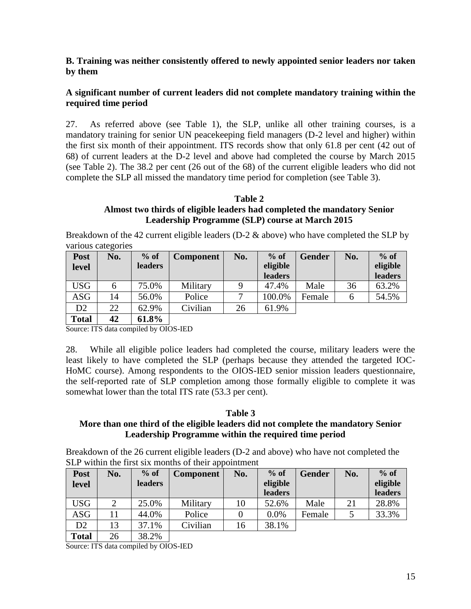## **B. Training was neither consistently offered to newly appointed senior leaders nor taken by them**

## **A significant number of current leaders did not complete mandatory training within the required time period**

27. As referred above (see Table 1), the SLP, unlike all other training courses, is a mandatory training for senior UN peacekeeping field managers (D-2 level and higher) within the first six month of their appointment. ITS records show that only 61.8 per cent (42 out of 68) of current leaders at the D-2 level and above had completed the course by March 2015 (see Table 2). The 38.2 per cent (26 out of the 68) of the current eligible leaders who did not complete the SLP all missed the mandatory time period for completion (see Table 3).

## **Table 2 Almost two thirds of eligible leaders had completed the mandatory Senior Leadership Programme (SLP) course at March 2015**

Breakdown of the 42 current eligible leaders ( $D-2 \&$  above) who have completed the SLP by various categories

| Post  | No. | $%$ of         | <b>Component</b> | No. | $%$ of   | <b>Gender</b> | No. | $%$ of   |
|-------|-----|----------------|------------------|-----|----------|---------------|-----|----------|
| level |     | <b>leaders</b> |                  |     | eligible |               |     | eligible |
|       |     |                |                  |     | leaders  |               |     | leaders  |
| USG   | 6   | 75.0%          | Military         |     | 47.4%    | Male          | 36  | 63.2%    |
| ASG   | 14  | 56.0%          | Police           |     | 100.0%   | Female        | 6   | 54.5%    |
| D2    | 22  | 62.9%          | Civilian         | 26  | 61.9%    |               |     |          |
|       |     |                |                  |     |          |               |     |          |

**Total 42 61.8%**

Source: ITS data compiled by OIOS-IED

28. While all eligible police leaders had completed the course, military leaders were the least likely to have completed the SLP (perhaps because they attended the targeted IOC-HoMC course). Among respondents to the OIOS-IED senior mission leaders questionnaire, the self-reported rate of SLP completion among those formally eligible to complete it was somewhat lower than the total ITS rate (53.3 per cent).

#### **Table 3 More than one third of the eligible leaders did not complete the mandatory Senior Leadership Programme within the required time period**

Breakdown of the 26 current eligible leaders (D-2 and above) who have not completed the SLP within the first six months of their appointment

| Post<br>level | No.            | $%$ of<br><b>leaders</b>    | <b>Component</b> | No. | $%$ of<br>eligible<br>leaders | <b>Gender</b> | No. | $%$ of<br>eligible<br>leaders |
|---------------|----------------|-----------------------------|------------------|-----|-------------------------------|---------------|-----|-------------------------------|
| <b>USG</b>    | $\overline{2}$ | 25.0%                       | Military         | 10  | 52.6%                         | Male          | 21  | 28.8%                         |
| ASG           |                | 44.0%                       | Police           |     | 0.0%                          | Female        |     | 33.3%                         |
| D2            | 13             | 37.1%                       | Civilian         | 16  | 38.1%                         |               |     |                               |
| __            | - -            | $\sim$ $\sim$ $\sim$ $\sim$ |                  |     |                               |               |     |                               |

**Total** 26 38.2%

Source: ITS data compiled by OIOS-IED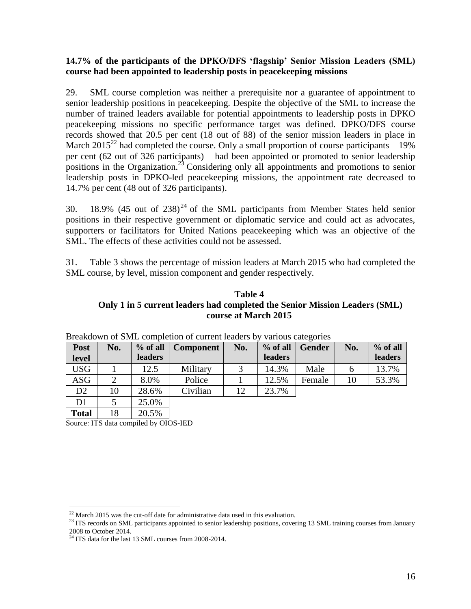## **14.7% of the participants of the DPKO/DFS 'flagship' Senior Mission Leaders (SML) course had been appointed to leadership posts in peacekeeping missions**

29. SML course completion was neither a prerequisite nor a guarantee of appointment to senior leadership positions in peacekeeping. Despite the objective of the SML to increase the number of trained leaders available for potential appointments to leadership posts in DPKO peacekeeping missions no specific performance target was defined. DPKO/DFS course records showed that 20.5 per cent (18 out of 88) of the senior mission leaders in place in March 2015<sup>22</sup> had completed the course. Only a small proportion of course participants – 19% per cent (62 out of 326 participants) – had been appointed or promoted to senior leadership positions in the Organization.<sup>23</sup> Considering only all appointments and promotions to senior leadership posts in DPKO-led peacekeeping missions, the appointment rate decreased to 14.7% per cent (48 out of 326 participants).

30. 18.9% (45 out of  $238$ )<sup>24</sup> of the SML participants from Member States held senior positions in their respective government or diplomatic service and could act as advocates, supporters or facilitators for United Nations peacekeeping which was an objective of the SML. The effects of these activities could not be assessed.

31. Table 3 shows the percentage of mission leaders at March 2015 who had completed the SML course, by level, mission component and gender respectively.

## **Table 4 Only 1 in 5 current leaders had completed the Senior Mission Leaders (SML) course at March 2015**

| Post<br>level  | No. | % of all<br><b>leaders</b> | <b>Component</b> | No. | $%$ of all<br><b>leaders</b> | <b>Gender</b> | No. | % of all<br>leaders |
|----------------|-----|----------------------------|------------------|-----|------------------------------|---------------|-----|---------------------|
| <b>USG</b>     |     | 12.5                       | Military         | 3   | 14.3%                        | Male          | 6   | 13.7%               |
| <b>ASG</b>     | 2   | 8.0%                       | Police           |     | 12.5%                        | Female        | 10  | 53.3%               |
| D2             | 10  | 28.6%                      | Civilian         | 12  | 23.7%                        |               |     |                     |
| D <sub>1</sub> |     | 25.0%                      |                  |     |                              |               |     |                     |
| <b>Total</b>   | 18  | 20.5%                      |                  |     |                              |               |     |                     |

| Breakdown of SML completion of current leaders by various categories |  |  |  |
|----------------------------------------------------------------------|--|--|--|
|                                                                      |  |  |  |

Source: ITS data compiled by OIOS-IED

 $^{22}$  March 2015 was the cut-off date for administrative data used in this evaluation.

<sup>&</sup>lt;sup>23</sup> ITS records on SML participants appointed to senior leadership positions, covering 13 SML training courses from January 2008 to October 2014.

 $24$  ITS data for the last 13 SML courses from 2008-2014.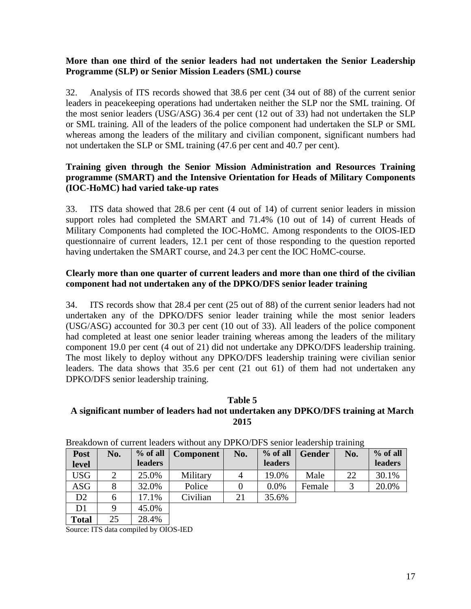## **More than one third of the senior leaders had not undertaken the Senior Leadership Programme (SLP) or Senior Mission Leaders (SML) course**

32. Analysis of ITS records showed that 38.6 per cent (34 out of 88) of the current senior leaders in peacekeeping operations had undertaken neither the SLP nor the SML training. Of the most senior leaders (USG/ASG) 36.4 per cent (12 out of 33) had not undertaken the SLP or SML training. All of the leaders of the police component had undertaken the SLP or SML whereas among the leaders of the military and civilian component, significant numbers had not undertaken the SLP or SML training (47.6 per cent and 40.7 per cent).

## **Training given through the Senior Mission Administration and Resources Training programme (SMART) and the Intensive Orientation for Heads of Military Components (IOC-HoMC) had varied take-up rates**

33. ITS data showed that 28.6 per cent (4 out of 14) of current senior leaders in mission support roles had completed the SMART and 71.4% (10 out of 14) of current Heads of Military Components had completed the IOC-HoMC. Among respondents to the OIOS-IED questionnaire of current leaders, 12.1 per cent of those responding to the question reported having undertaken the SMART course, and 24.3 per cent the IOC HoMC-course.

## **Clearly more than one quarter of current leaders and more than one third of the civilian component had not undertaken any of the DPKO/DFS senior leader training**

34. ITS records show that 28.4 per cent (25 out of 88) of the current senior leaders had not undertaken any of the DPKO/DFS senior leader training while the most senior leaders (USG/ASG) accounted for 30.3 per cent (10 out of 33). All leaders of the police component had completed at least one senior leader training whereas among the leaders of the military component 19.0 per cent (4 out of 21) did not undertake any DPKO/DFS leadership training. The most likely to deploy without any DPKO/DFS leadership training were civilian senior leaders. The data shows that 35.6 per cent (21 out 61) of them had not undertaken any DPKO/DFS senior leadership training.

#### **Table 5 A significant number of leaders had not undertaken any DPKO/DFS training at March 2015**

| Post<br>level | No. | $%$ of all<br><b>leaders</b> | <b>Component</b> | No.      | % of all<br><b>leaders</b> | <b>Gender</b> | No. | % of all<br>leaders |
|---------------|-----|------------------------------|------------------|----------|----------------------------|---------------|-----|---------------------|
| <b>USG</b>    |     | 25.0%                        | Military         | 4        | 19.0%                      | Male          | 22  | 30.1%               |
| <b>ASG</b>    | 8   | 32.0%                        | Police           | $\theta$ | 0.0%                       | Female        | 3   | 20.0%               |
| D2            | 6   | 17.1%                        | Civilian         | 21       | 35.6%                      |               |     |                     |
| D1            | 9   | 45.0%                        |                  |          |                            |               |     |                     |
| <b>Total</b>  | 25  | 28.4%                        |                  |          |                            |               |     |                     |

Source: ITS data compiled by OIOS-IED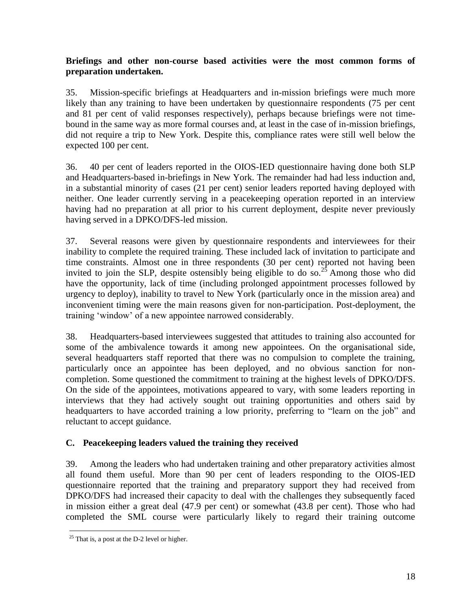## **Briefings and other non-course based activities were the most common forms of preparation undertaken.**

35. Mission-specific briefings at Headquarters and in-mission briefings were much more likely than any training to have been undertaken by questionnaire respondents (75 per cent and 81 per cent of valid responses respectively), perhaps because briefings were not timebound in the same way as more formal courses and, at least in the case of in-mission briefings, did not require a trip to New York. Despite this, compliance rates were still well below the expected 100 per cent.

36. 40 per cent of leaders reported in the OIOS-IED questionnaire having done both SLP and Headquarters-based in-briefings in New York. The remainder had had less induction and, in a substantial minority of cases (21 per cent) senior leaders reported having deployed with neither. One leader currently serving in a peacekeeping operation reported in an interview having had no preparation at all prior to his current deployment, despite never previously having served in a DPKO/DFS-led mission.

37. Several reasons were given by questionnaire respondents and interviewees for their inability to complete the required training. These included lack of invitation to participate and time constraints. Almost one in three respondents (30 per cent) reported not having been invited to join the SLP, despite ostensibly being eligible to do so.<sup>25</sup> Among those who did have the opportunity, lack of time (including prolonged appointment processes followed by urgency to deploy), inability to travel to New York (particularly once in the mission area) and inconvenient timing were the main reasons given for non-participation. Post-deployment, the training 'window' of a new appointee narrowed considerably.

38. Headquarters-based interviewees suggested that attitudes to training also accounted for some of the ambivalence towards it among new appointees. On the organisational side, several headquarters staff reported that there was no compulsion to complete the training, particularly once an appointee has been deployed, and no obvious sanction for noncompletion. Some questioned the commitment to training at the highest levels of DPKO/DFS. On the side of the appointees, motivations appeared to vary, with some leaders reporting in interviews that they had actively sought out training opportunities and others said by headquarters to have accorded training a low priority, preferring to "learn on the job" and reluctant to accept guidance.

## **C. Peacekeeping leaders valued the training they received**

39. Among the leaders who had undertaken training and other preparatory activities almost all found them useful. More than 90 per cent of leaders responding to the OIOS-IED questionnaire reported that the training and preparatory support they had received from DPKO/DFS had increased their capacity to deal with the challenges they subsequently faced in mission either a great deal (47.9 per cent) or somewhat (43.8 per cent). Those who had completed the SML course were particularly likely to regard their training outcome

 $25$  That is, a post at the D-2 level or higher.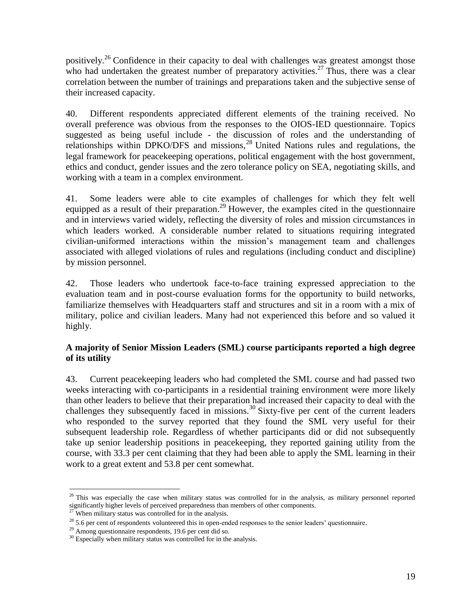positively.<sup>26</sup> Confidence in their capacity to deal with challenges was greatest amongst those who had undertaken the greatest number of preparatory activities.<sup>27</sup> Thus, there was a clear correlation between the number of trainings and preparations taken and the subjective sense of their increased capacity.

40. Different respondents appreciated different elements of the training received. No overall preference was obvious from the responses to the OIOS-IED questionnaire. Topics suggested as being useful include - the discussion of roles and the understanding of relationships within DPKO/DFS and missions, <sup>28</sup> United Nations rules and regulations, the legal framework for peacekeeping operations, political engagement with the host government, ethics and conduct, gender issues and the zero tolerance policy on SEA, negotiating skills, and working with a team in a complex environment.

41. Some leaders were able to cite examples of challenges for which they felt well equipped as a result of their preparation.<sup>29</sup> However, the examples cited in the questionnaire and in interviews varied widely, reflecting the diversity of roles and mission circumstances in which leaders worked. A considerable number related to situations requiring integrated civilian-uniformed interactions within the mission's management team and challenges associated with alleged violations of rules and regulations (including conduct and discipline) by mission personnel.

42. Those leaders who undertook face-to-face training expressed appreciation to the evaluation team and in post-course evaluation forms for the opportunity to build networks, familiarize themselves with Headquarters staff and structures and sit in a room with a mix of military, police and civilian leaders. Many had not experienced this before and so valued it highly.

## **A majority of Senior Mission Leaders (SML) course participants reported a high degree of its utility**

43. Current peacekeeping leaders who had completed the SML course and had passed two weeks interacting with co-participants in a residential training environment were more likely than other leaders to believe that their preparation had increased their capacity to deal with the challenges they subsequently faced in missions.<sup>30</sup> Sixty-five per cent of the current leaders who responded to the survey reported that they found the SML very useful for their subsequent leadership role. Regardless of whether participants did or did not subsequently take up senior leadership positions in peacekeeping, they reported gaining utility from the course, with 33.3 per cent claiming that they had been able to apply the SML learning in their work to a great extent and 53.8 per cent somewhat.

<sup>&</sup>lt;sup>26</sup> This was especially the case when military status was controlled for in the analysis, as military personnel reported significantly higher levels of perceived preparedness than members of other components.

 $27$  When military status was controlled for in the analysis.

<sup>&</sup>lt;sup>28</sup> 5.6 per cent of respondents volunteered this in open-ended responses to the senior leaders' questionnaire.

<sup>&</sup>lt;sup>29</sup> Among questionnaire respondents, 19.6 per cent did so.

 $30$  Especially when military status was controlled for in the analysis.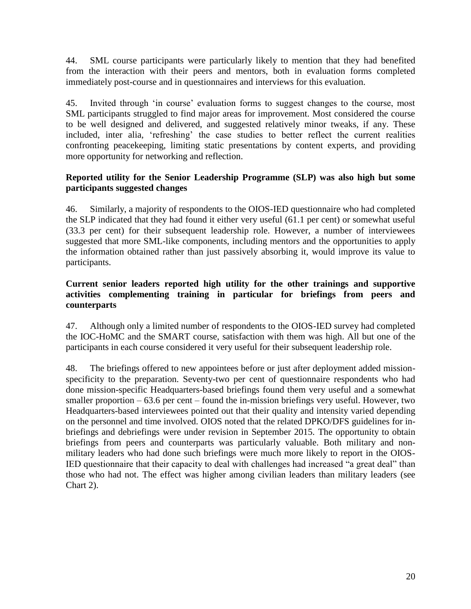44. SML course participants were particularly likely to mention that they had benefited from the interaction with their peers and mentors, both in evaluation forms completed immediately post-course and in questionnaires and interviews for this evaluation.

45. Invited through 'in course' evaluation forms to suggest changes to the course, most SML participants struggled to find major areas for improvement. Most considered the course to be well designed and delivered, and suggested relatively minor tweaks, if any. These included, inter alia*,* 'refreshing' the case studies to better reflect the current realities confronting peacekeeping, limiting static presentations by content experts, and providing more opportunity for networking and reflection.

## **Reported utility for the Senior Leadership Programme (SLP) was also high but some participants suggested changes**

46. Similarly, a majority of respondents to the OIOS-IED questionnaire who had completed the SLP indicated that they had found it either very useful (61.1 per cent) or somewhat useful (33.3 per cent) for their subsequent leadership role. However, a number of interviewees suggested that more SML-like components, including mentors and the opportunities to apply the information obtained rather than just passively absorbing it, would improve its value to participants.

## **Current senior leaders reported high utility for the other trainings and supportive activities complementing training in particular for briefings from peers and counterparts**

47. Although only a limited number of respondents to the OIOS-IED survey had completed the IOC-HoMC and the SMART course, satisfaction with them was high. All but one of the participants in each course considered it very useful for their subsequent leadership role.

48. The briefings offered to new appointees before or just after deployment added missionspecificity to the preparation. Seventy-two per cent of questionnaire respondents who had done mission-specific Headquarters-based briefings found them very useful and a somewhat smaller proportion  $-63.6$  per cent – found the in-mission briefings very useful. However, two Headquarters-based interviewees pointed out that their quality and intensity varied depending on the personnel and time involved. OIOS noted that the related DPKO/DFS guidelines for inbriefings and debriefings were under revision in September 2015. The opportunity to obtain briefings from peers and counterparts was particularly valuable. Both military and nonmilitary leaders who had done such briefings were much more likely to report in the OIOS-IED questionnaire that their capacity to deal with challenges had increased "a great deal" than those who had not. The effect was higher among civilian leaders than military leaders (see Chart 2).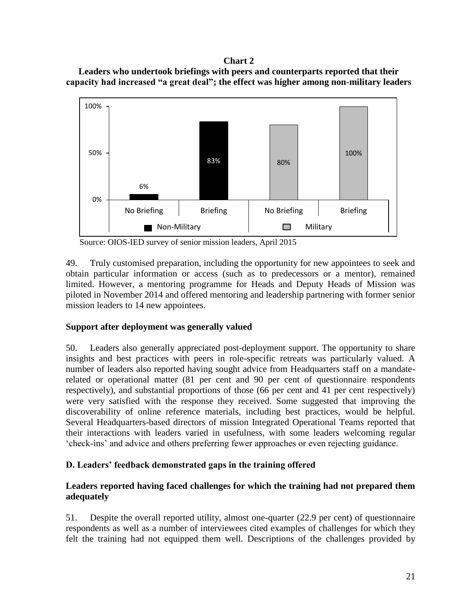#### **Chart 2**

**Leaders who undertook briefings with peers and counterparts reported that their capacity had increased "a great deal"; the effect was higher among non-military leaders**



Source: OIOS-IED survey of senior mission leaders, April 2015

49. Truly customised preparation, including the opportunity for new appointees to seek and obtain particular information or access (such as to predecessors or a mentor), remained limited. However, a mentoring programme for Heads and Deputy Heads of Mission was piloted in November 2014 and offered mentoring and leadership partnering with former senior mission leaders to 14 new appointees.

## **Support after deployment was generally valued**

50. Leaders also generally appreciated post-deployment support. The opportunity to share insights and best practices with peers in role-specific retreats was particularly valued. A number of leaders also reported having sought advice from Headquarters staff on a mandaterelated or operational matter (81 per cent and 90 per cent of questionnaire respondents respectively), and substantial proportions of those (66 per cent and 41 per cent respectively) were very satisfied with the response they received. Some suggested that improving the discoverability of online reference materials, including best practices, would be helpful. Several Headquarters-based directors of mission Integrated Operational Teams reported that their interactions with leaders varied in usefulness, with some leaders welcoming regular 'check-ins' and advice and others preferring fewer approaches or even rejecting guidance.

## **D. Leaders' feedback demonstrated gaps in the training offered**

## **Leaders reported having faced challenges for which the training had not prepared them adequately**

51. Despite the overall reported utility, almost one-quarter (22.9 per cent) of questionnaire respondents as well as a number of interviewees cited examples of challenges for which they felt the training had not equipped them well. Descriptions of the challenges provided by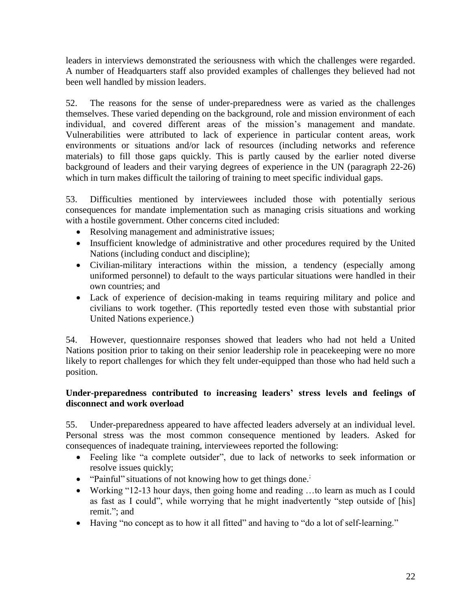leaders in interviews demonstrated the seriousness with which the challenges were regarded. A number of Headquarters staff also provided examples of challenges they believed had not been well handled by mission leaders.

52. The reasons for the sense of under-preparedness were as varied as the challenges themselves. These varied depending on the background, role and mission environment of each individual, and covered different areas of the mission's management and mandate. Vulnerabilities were attributed to lack of experience in particular content areas, work environments or situations and/or lack of resources (including networks and reference materials) to fill those gaps quickly. This is partly caused by the earlier noted diverse background of leaders and their varying degrees of experience in the UN (paragraph 22-26) which in turn makes difficult the tailoring of training to meet specific individual gaps.

53. Difficulties mentioned by interviewees included those with potentially serious consequences for mandate implementation such as managing crisis situations and working with a hostile government. Other concerns cited included:

- Resolving management and administrative issues;
- Insufficient knowledge of administrative and other procedures required by the United Nations (including conduct and discipline);
- Civilian-military interactions within the mission, a tendency (especially among uniformed personnel) to default to the ways particular situations were handled in their own countries; and
- Lack of experience of decision-making in teams requiring military and police and civilians to work together. (This reportedly tested even those with substantial prior United Nations experience.)

54. However, questionnaire responses showed that leaders who had not held a United Nations position prior to taking on their senior leadership role in peacekeeping were no more likely to report challenges for which they felt under-equipped than those who had held such a position.

## **Under-preparedness contributed to increasing leaders' stress levels and feelings of disconnect and work overload**

55. Under-preparedness appeared to have affected leaders adversely at an individual level. Personal stress was the most common consequence mentioned by leaders. Asked for consequences of inadequate training, interviewees reported the following:

- Feeling like "a complete outsider", due to lack of networks to seek information or resolve issues quickly;
- $\bullet$  "Painful" situations of not knowing how to get things done.<sup>;</sup>
- Working "12-13 hour days, then going home and reading …to learn as much as I could as fast as I could", while worrying that he might inadvertently "step outside of [his] remit."; and
- Having "no concept as to how it all fitted" and having to "do a lot of self-learning."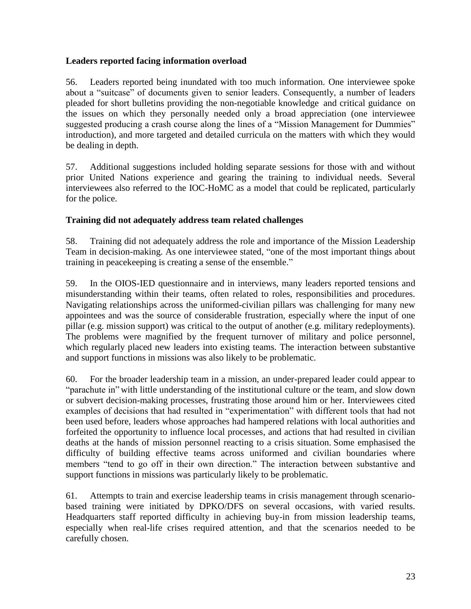## **Leaders reported facing information overload**

56. Leaders reported being inundated with too much information. One interviewee spoke about a "suitcase" of documents given to senior leaders. Consequently, a number of leaders pleaded for short bulletins providing the non-negotiable knowledge and critical guidance on the issues on which they personally needed only a broad appreciation (one interviewee suggested producing a crash course along the lines of a "Mission Management for Dummies" introduction), and more targeted and detailed curricula on the matters with which they would be dealing in depth.

57. Additional suggestions included holding separate sessions for those with and without prior United Nations experience and gearing the training to individual needs. Several interviewees also referred to the IOC-HoMC as a model that could be replicated, particularly for the police.

## **Training did not adequately address team related challenges**

58. Training did not adequately address the role and importance of the Mission Leadership Team in decision-making. As one interviewee stated, "one of the most important things about training in peacekeeping is creating a sense of the ensemble."

59. In the OIOS-IED questionnaire and in interviews, many leaders reported tensions and misunderstanding within their teams, often related to roles, responsibilities and procedures. Navigating relationships across the uniformed-civilian pillars was challenging for many new appointees and was the source of considerable frustration, especially where the input of one pillar (e.g. mission support) was critical to the output of another (e.g. military redeployments). The problems were magnified by the frequent turnover of military and police personnel, which regularly placed new leaders into existing teams. The interaction between substantive and support functions in missions was also likely to be problematic.

60. For the broader leadership team in a mission, an under-prepared leader could appear to "parachute in" with little understanding of the institutional culture or the team, and slow down or subvert decision-making processes, frustrating those around him or her. Interviewees cited examples of decisions that had resulted in "experimentation" with different tools that had not been used before, leaders whose approaches had hampered relations with local authorities and forfeited the opportunity to influence local processes, and actions that had resulted in civilian deaths at the hands of mission personnel reacting to a crisis situation. Some emphasised the difficulty of building effective teams across uniformed and civilian boundaries where members "tend to go off in their own direction." The interaction between substantive and support functions in missions was particularly likely to be problematic.

61. Attempts to train and exercise leadership teams in crisis management through scenariobased training were initiated by DPKO/DFS on several occasions, with varied results. Headquarters staff reported difficulty in achieving buy-in from mission leadership teams, especially when real-life crises required attention, and that the scenarios needed to be carefully chosen.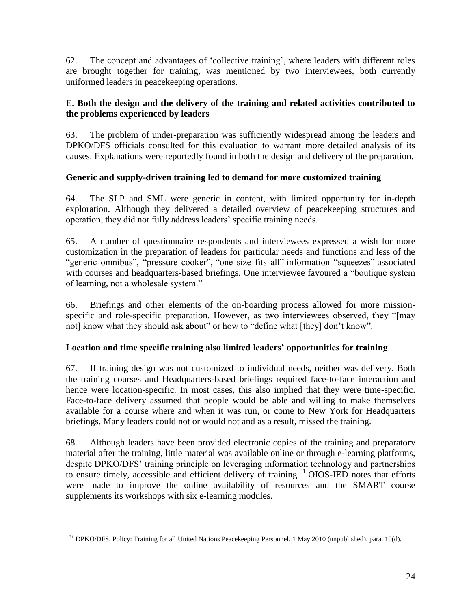62. The concept and advantages of 'collective training', where leaders with different roles are brought together for training, was mentioned by two interviewees, both currently uniformed leaders in peacekeeping operations.

## **E. Both the design and the delivery of the training and related activities contributed to the problems experienced by leaders**

63. The problem of under-preparation was sufficiently widespread among the leaders and DPKO/DFS officials consulted for this evaluation to warrant more detailed analysis of its causes. Explanations were reportedly found in both the design and delivery of the preparation.

## **Generic and supply-driven training led to demand for more customized training**

64. The SLP and SML were generic in content, with limited opportunity for in-depth exploration. Although they delivered a detailed overview of peacekeeping structures and operation, they did not fully address leaders' specific training needs.

65. A number of questionnaire respondents and interviewees expressed a wish for more customization in the preparation of leaders for particular needs and functions and less of the "generic omnibus", "pressure cooker", "one size fits all" information "squeezes" associated with courses and headquarters-based briefings. One interviewee favoured a "boutique system of learning, not a wholesale system."

66. Briefings and other elements of the on-boarding process allowed for more missionspecific and role-specific preparation. However, as two interviewees observed, they "[may not] know what they should ask about" or how to "define what [they] don't know".

## **Location and time specific training also limited leaders' opportunities for training**

67. If training design was not customized to individual needs, neither was delivery. Both the training courses and Headquarters-based briefings required face-to-face interaction and hence were location-specific. In most cases, this also implied that they were time-specific. Face-to-face delivery assumed that people would be able and willing to make themselves available for a course where and when it was run, or come to New York for Headquarters briefings. Many leaders could not or would not and as a result, missed the training.

68. Although leaders have been provided electronic copies of the training and preparatory material after the training, little material was available online or through e-learning platforms, despite DPKO/DFS' training principle on leveraging information technology and partnerships to ensure timely, accessible and efficient delivery of training.<sup>31</sup> OIOS-IED notes that efforts were made to improve the online availability of resources and the SMART course supplements its workshops with six e-learning modules.

<sup>&</sup>lt;sup>31</sup> DPKO/DFS, Policy: Training for all United Nations Peacekeeping Personnel, 1 May 2010 (unpublished), para. 10(d).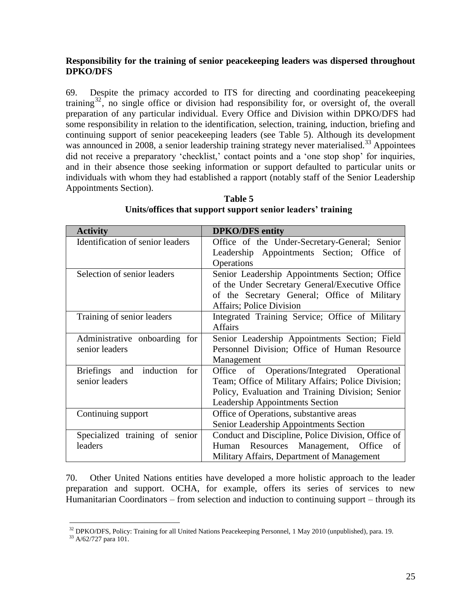## **Responsibility for the training of senior peacekeeping leaders was dispersed throughout DPKO/DFS**

69. Despite the primacy accorded to ITS for directing and coordinating peacekeeping training<sup>32</sup>, no single office or division had responsibility for, or oversight of, the overall preparation of any particular individual. Every Office and Division within DPKO/DFS had some responsibility in relation to the identification, selection, training, induction, briefing and continuing support of senior peacekeeping leaders (see Table 5). Although its development was announced in 2008, a senior leadership training strategy never materialised.<sup>33</sup> Appointees did not receive a preparatory 'checklist,' contact points and a 'one stop shop' for inquiries, and in their absence those seeking information or support defaulted to particular units or individuals with whom they had established a rapport (notably staff of the Senior Leadership Appointments Section).

| <b>Activity</b>                  | <b>DPKO/DFS</b> entity                             |
|----------------------------------|----------------------------------------------------|
| Identification of senior leaders | Office of the Under-Secretary-General; Senior      |
|                                  | Leadership Appointments Section; Office of         |
|                                  | Operations                                         |
| Selection of senior leaders      | Senior Leadership Appointments Section; Office     |
|                                  | of the Under Secretary General/Executive Office    |
|                                  | of the Secretary General; Office of Military       |
|                                  | Affairs; Police Division                           |
| Training of senior leaders       | Integrated Training Service; Office of Military    |
|                                  | <b>Affairs</b>                                     |
| Administrative onboarding for    | Senior Leadership Appointments Section; Field      |
| senior leaders                   | Personnel Division; Office of Human Resource       |
|                                  | Management                                         |
| Briefings and induction<br>for   | of Operations/Integrated Operational<br>Office     |
| senior leaders                   | Team; Office of Military Affairs; Police Division; |
|                                  | Policy, Evaluation and Training Division; Senior   |
|                                  | Leadership Appointments Section                    |
| Continuing support               | Office of Operations, substantive areas            |
|                                  | Senior Leadership Appointments Section             |
| Specialized training of senior   | Conduct and Discipline, Police Division, Office of |
| leaders                          | Resources Management, Office<br>Human<br>of        |
|                                  | Military Affairs, Department of Management         |

## **Table 5 Units/offices that support support senior leaders' training**

70. Other United Nations entities have developed a more holistic approach to the leader preparation and support. OCHA, for example, offers its series of services to new Humanitarian Coordinators – from selection and induction to continuing support – through its

<sup>&</sup>lt;sup>32</sup> DPKO/DFS, Policy: Training for all United Nations Peacekeeping Personnel, 1 May 2010 (unpublished), para. 19.

 $33$  A/62/727 para 101.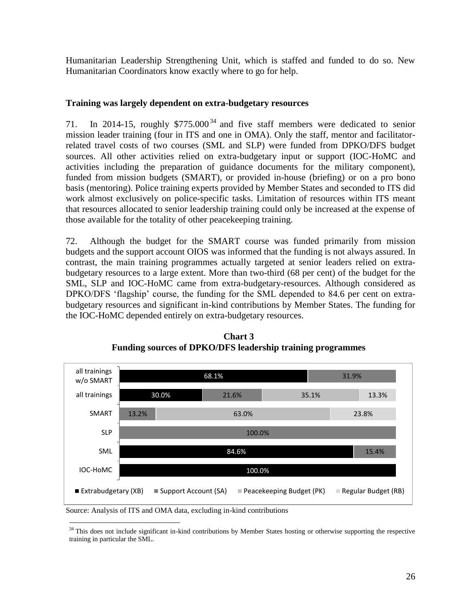Humanitarian Leadership Strengthening Unit, which is staffed and funded to do so. New Humanitarian Coordinators know exactly where to go for help.

## **Training was largely dependent on extra-budgetary resources**

71. In 2014-15, roughly \$775.000 <sup>34</sup> and five staff members were dedicated to senior mission leader training (four in ITS and one in OMA). Only the staff, mentor and facilitatorrelated travel costs of two courses (SML and SLP) were funded from DPKO/DFS budget sources. All other activities relied on extra-budgetary input or support (IOC-HoMC and activities including the preparation of guidance documents for the military component), funded from mission budgets (SMART), or provided in-house (briefing) or on a pro bono basis (mentoring). Police training experts provided by Member States and seconded to ITS did work almost exclusively on police-specific tasks. Limitation of resources within ITS meant that resources allocated to senior leadership training could only be increased at the expense of those available for the totality of other peacekeeping training.

72. Although the budget for the SMART course was funded primarily from mission budgets and the support account OIOS was informed that the funding is not always assured. In contrast, the main training programmes actually targeted at senior leaders relied on extrabudgetary resources to a large extent. More than two-third (68 per cent) of the budget for the SML, SLP and IOC-HoMC came from extra-budgetary-resources. Although considered as DPKO/DFS 'flagship' course, the funding for the SML depended to 84.6 per cent on extrabudgetary resources and significant in-kind contributions by Member States. The funding for the IOC-HoMC depended entirely on extra-budgetary resources.



**Chart 3 Funding sources of DPKO/DFS leadership training programmes**

Source: Analysis of ITS and OMA data, excluding in-kind contributions

<sup>&</sup>lt;sup>34</sup> This does not include significant in-kind contributions by Member States hosting or otherwise supporting the respective training in particular the SML.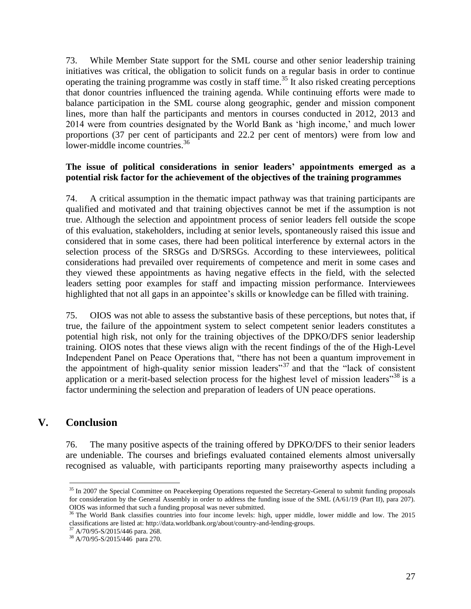73. While Member State support for the SML course and other senior leadership training initiatives was critical, the obligation to solicit funds on a regular basis in order to continue operating the training programme was costly in staff time.<sup>35</sup> It also risked creating perceptions that donor countries influenced the training agenda. While continuing efforts were made to balance participation in the SML course along geographic, gender and mission component lines, more than half the participants and mentors in courses conducted in 2012, 2013 and 2014 were from countries designated by the World Bank as 'high income,' and much lower proportions (37 per cent of participants and 22.2 per cent of mentors) were from low and lower-middle income countries.<sup>36</sup>

### **The issue of political considerations in senior leaders' appointments emerged as a potential risk factor for the achievement of the objectives of the training programmes**

74. A critical assumption in the thematic impact pathway was that training participants are qualified and motivated and that training objectives cannot be met if the assumption is not true. Although the selection and appointment process of senior leaders fell outside the scope of this evaluation, stakeholders, including at senior levels, spontaneously raised this issue and considered that in some cases, there had been political interference by external actors in the selection process of the SRSGs and D/SRSGs. According to these interviewees, political considerations had prevailed over requirements of competence and merit in some cases and they viewed these appointments as having negative effects in the field, with the selected leaders setting poor examples for staff and impacting mission performance. Interviewees highlighted that not all gaps in an appointee's skills or knowledge can be filled with training.

75. OIOS was not able to assess the substantive basis of these perceptions, but notes that, if true, the failure of the appointment system to select competent senior leaders constitutes a potential high risk, not only for the training objectives of the DPKO/DFS senior leadership training. OIOS notes that these views align with the recent findings of the of the High-Level Independent Panel on Peace Operations that, "there has not been a quantum improvement in the appointment of high-quality senior mission leaders<sup> $37$ </sup> and that the "lack of consistent" application or a merit-based selection process for the highest level of mission leaders<sup> $38$ </sup> is a factor undermining the selection and preparation of leaders of UN peace operations.

## **V. Conclusion**

 $\overline{a}$ 

76. The many positive aspects of the training offered by DPKO/DFS to their senior leaders are undeniable. The courses and briefings evaluated contained elements almost universally recognised as valuable, with participants reporting many praiseworthy aspects including a

 $35$  In 2007 the Special Committee on Peacekeeping Operations requested the Secretary-General to submit funding proposals for consideration by the General Assembly in order to address the funding issue of the SML (A/61/19 (Part II), para 207). OIOS was informed that such a funding proposal was never submitted.

<sup>&</sup>lt;sup>36</sup> The World Bank classifies countries into four income levels: high, upper middle, lower middle and low. The 2015 classifications are listed at: http://data.worldbank.org/about/country-and-lending-groups.

<sup>37</sup> A/70/95-S/2015/446 para. 268.

<sup>38</sup> A/70/95-S/2015/446 para 270.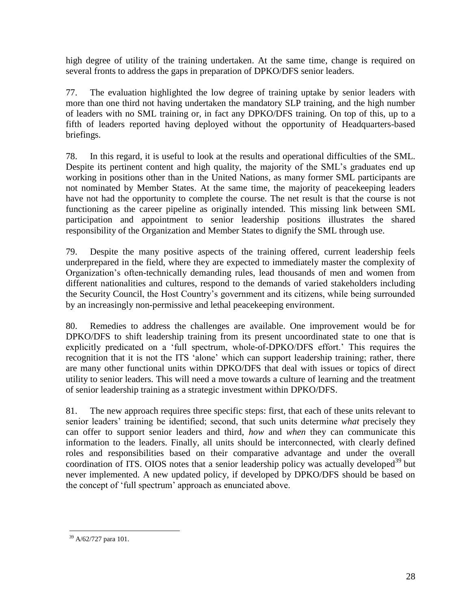high degree of utility of the training undertaken. At the same time, change is required on several fronts to address the gaps in preparation of DPKO/DFS senior leaders.

77. The evaluation highlighted the low degree of training uptake by senior leaders with more than one third not having undertaken the mandatory SLP training, and the high number of leaders with no SML training or, in fact any DPKO/DFS training. On top of this, up to a fifth of leaders reported having deployed without the opportunity of Headquarters-based briefings.

78. In this regard, it is useful to look at the results and operational difficulties of the SML. Despite its pertinent content and high quality, the majority of the SML's graduates end up working in positions other than in the United Nations, as many former SML participants are not nominated by Member States. At the same time, the majority of peacekeeping leaders have not had the opportunity to complete the course. The net result is that the course is not functioning as the career pipeline as originally intended. This missing link between SML participation and appointment to senior leadership positions illustrates the shared responsibility of the Organization and Member States to dignify the SML through use.

79. Despite the many positive aspects of the training offered, current leadership feels underprepared in the field, where they are expected to immediately master the complexity of Organization's often-technically demanding rules, lead thousands of men and women from different nationalities and cultures, respond to the demands of varied stakeholders including the Security Council, the Host Country's government and its citizens, while being surrounded by an increasingly non-permissive and lethal peacekeeping environment.

80. Remedies to address the challenges are available. One improvement would be for DPKO/DFS to shift leadership training from its present uncoordinated state to one that is explicitly predicated on a 'full spectrum, whole-of-DPKO/DFS effort.' This requires the recognition that it is not the ITS 'alone' which can support leadership training; rather, there are many other functional units within DPKO/DFS that deal with issues or topics of direct utility to senior leaders. This will need a move towards a culture of learning and the treatment of senior leadership training as a strategic investment within DPKO/DFS.

81. The new approach requires three specific steps: first, that each of these units relevant to senior leaders' training be identified; second, that such units determine *what* precisely they can offer to support senior leaders and third, *how* and *when* they can communicate this information to the leaders. Finally, all units should be interconnected, with clearly defined roles and responsibilities based on their comparative advantage and under the overall coordination of ITS. OIOS notes that a senior leadership policy was actually developed<sup>39</sup> but never implemented. A new updated policy, if developed by DPKO/DFS should be based on the concept of 'full spectrum' approach as enunciated above.

 $\overline{a}$ <sup>39</sup> A/62/727 para 101.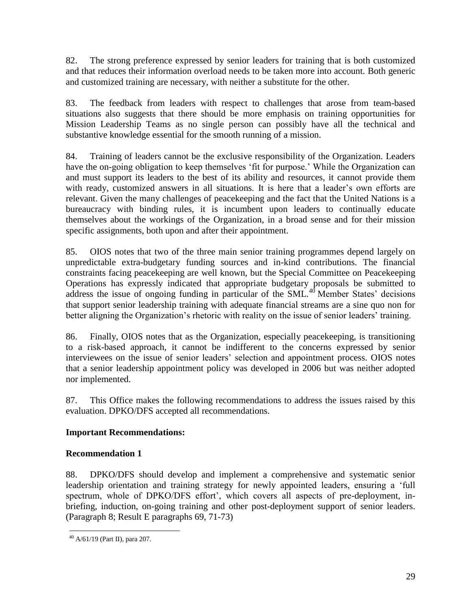82. The strong preference expressed by senior leaders for training that is both customized and that reduces their information overload needs to be taken more into account. Both generic and customized training are necessary, with neither a substitute for the other.

83. The feedback from leaders with respect to challenges that arose from team-based situations also suggests that there should be more emphasis on training opportunities for Mission Leadership Teams as no single person can possibly have all the technical and substantive knowledge essential for the smooth running of a mission.

84. Training of leaders cannot be the exclusive responsibility of the Organization. Leaders have the on-going obligation to keep themselves 'fit for purpose.' While the Organization can and must support its leaders to the best of its ability and resources, it cannot provide them with ready, customized answers in all situations. It is here that a leader's own efforts are relevant. Given the many challenges of peacekeeping and the fact that the United Nations is a bureaucracy with binding rules, it is incumbent upon leaders to continually educate themselves about the workings of the Organization, in a broad sense and for their mission specific assignments, both upon and after their appointment.

85. OIOS notes that two of the three main senior training programmes depend largely on unpredictable extra-budgetary funding sources and in-kind contributions. The financial constraints facing peacekeeping are well known, but the Special Committee on Peacekeeping Operations has expressly indicated that appropriate budgetary proposals be submitted to address the issue of ongoing funding in particular of the  $SML<sup>40</sup>$  Member States' decisions that support senior leadership training with adequate financial streams are a sine quo non for better aligning the Organization's rhetoric with reality on the issue of senior leaders' training.

86. Finally, OIOS notes that as the Organization, especially peacekeeping, is transitioning to a risk-based approach, it cannot be indifferent to the concerns expressed by senior interviewees on the issue of senior leaders' selection and appointment process. OIOS notes that a senior leadership appointment policy was developed in 2006 but was neither adopted nor implemented.

87. This Office makes the following recommendations to address the issues raised by this evaluation. DPKO/DFS accepted all recommendations.

## **Important Recommendations:**

## **Recommendation 1**

88. DPKO/DFS should develop and implement a comprehensive and systematic senior leadership orientation and training strategy for newly appointed leaders, ensuring a 'full spectrum, whole of DPKO/DFS effort', which covers all aspects of pre-deployment, inbriefing, induction, on-going training and other post-deployment support of senior leaders. (Paragraph 8; Result E paragraphs 69, 71-73)

 $\overline{a}$  $40$  A/61/19 (Part II), para 207.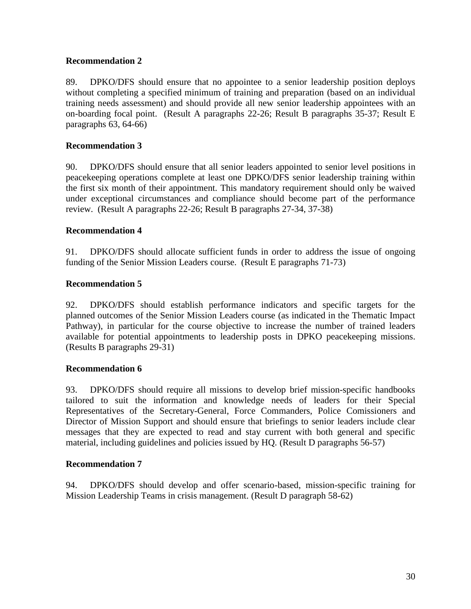## **Recommendation 2**

89. DPKO/DFS should ensure that no appointee to a senior leadership position deploys without completing a specified minimum of training and preparation (based on an individual training needs assessment) and should provide all new senior leadership appointees with an on-boarding focal point. (Result A paragraphs 22-26; Result B paragraphs 35-37; Result E paragraphs 63, 64-66)

## **Recommendation 3**

90. DPKO/DFS should ensure that all senior leaders appointed to senior level positions in peacekeeping operations complete at least one DPKO/DFS senior leadership training within the first six month of their appointment. This mandatory requirement should only be waived under exceptional circumstances and compliance should become part of the performance review. (Result A paragraphs 22-26; Result B paragraphs 27-34, 37-38)

### **Recommendation 4**

91. DPKO/DFS should allocate sufficient funds in order to address the issue of ongoing funding of the Senior Mission Leaders course. (Result E paragraphs 71-73)

## **Recommendation 5**

92. DPKO/DFS should establish performance indicators and specific targets for the planned outcomes of the Senior Mission Leaders course (as indicated in the Thematic Impact Pathway), in particular for the course objective to increase the number of trained leaders available for potential appointments to leadership posts in DPKO peacekeeping missions. (Results B paragraphs 29-31)

### **Recommendation 6**

93. DPKO/DFS should require all missions to develop brief mission-specific handbooks tailored to suit the information and knowledge needs of leaders for their Special Representatives of the Secretary-General, Force Commanders, Police Comissioners and Director of Mission Support and should ensure that briefings to senior leaders include clear messages that they are expected to read and stay current with both general and specific material, including guidelines and policies issued by HQ. (Result D paragraphs 56-57)

### **Recommendation 7**

94. DPKO/DFS should develop and offer scenario-based, mission-specific training for Mission Leadership Teams in crisis management. (Result D paragraph 58-62)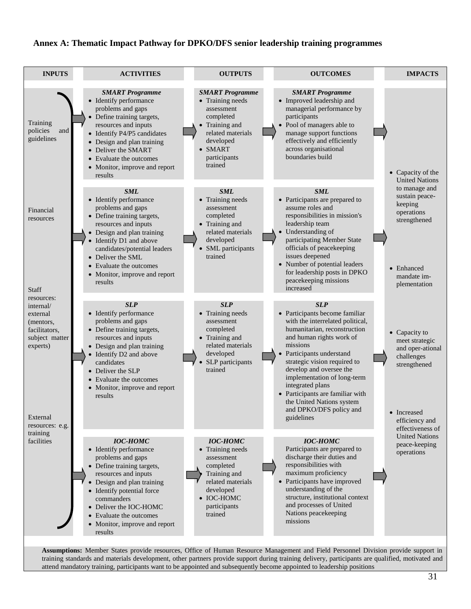#### **Annex A: Thematic Impact Pathway for DPKO/DFS senior leadership training programmes**



training standards and materials development, other partners provide support during training delivery, participants are qualified, motivated and attend mandatory training, participants want to be appointed and subsequently become appointed to leadership positions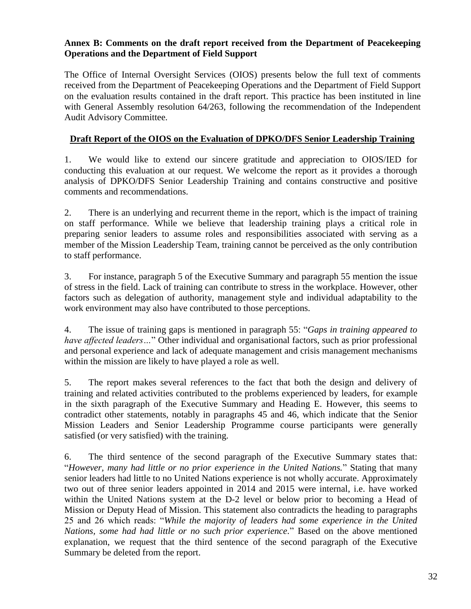## **Annex B: Comments on the draft report received from the Department of Peacekeeping Operations and the Department of Field Support**

The Office of Internal Oversight Services (OIOS) presents below the full text of comments received from the Department of Peacekeeping Operations and the Department of Field Support on the evaluation results contained in the draft report. This practice has been instituted in line with General Assembly resolution 64/263, following the recommendation of the Independent Audit Advisory Committee.

## **Draft Report of the OIOS on the Evaluation of DPKO/DFS Senior Leadership Training**

1. We would like to extend our sincere gratitude and appreciation to OIOS/IED for conducting this evaluation at our request. We welcome the report as it provides a thorough analysis of DPKO/DFS Senior Leadership Training and contains constructive and positive comments and recommendations.

2. There is an underlying and recurrent theme in the report, which is the impact of training on staff performance. While we believe that leadership training plays a critical role in preparing senior leaders to assume roles and responsibilities associated with serving as a member of the Mission Leadership Team, training cannot be perceived as the only contribution to staff performance.

3. For instance, paragraph 5 of the Executive Summary and paragraph 55 mention the issue of stress in the field. Lack of training can contribute to stress in the workplace. However, other factors such as delegation of authority, management style and individual adaptability to the work environment may also have contributed to those perceptions.

4. The issue of training gaps is mentioned in paragraph 55: "*Gaps in training appeared to have affected leaders…*" Other individual and organisational factors, such as prior professional and personal experience and lack of adequate management and crisis management mechanisms within the mission are likely to have played a role as well.

5. The report makes several references to the fact that both the design and delivery of training and related activities contributed to the problems experienced by leaders, for example in the sixth paragraph of the Executive Summary and Heading E. However, this seems to contradict other statements, notably in paragraphs 45 and 46, which indicate that the Senior Mission Leaders and Senior Leadership Programme course participants were generally satisfied (or very satisfied) with the training.

6. The third sentence of the second paragraph of the Executive Summary states that: "*However, many had little or no prior experience in the United Nations.*" Stating that many senior leaders had little to no United Nations experience is not wholly accurate. Approximately two out of three senior leaders appointed in 2014 and 2015 were internal, i.e. have worked within the United Nations system at the D-2 level or below prior to becoming a Head of Mission or Deputy Head of Mission. This statement also contradicts the heading to paragraphs 25 and 26 which reads: "*While the majority of leaders had some experience in the United Nations, some had had little or no such prior experience.*" Based on the above mentioned explanation, we request that the third sentence of the second paragraph of the Executive Summary be deleted from the report.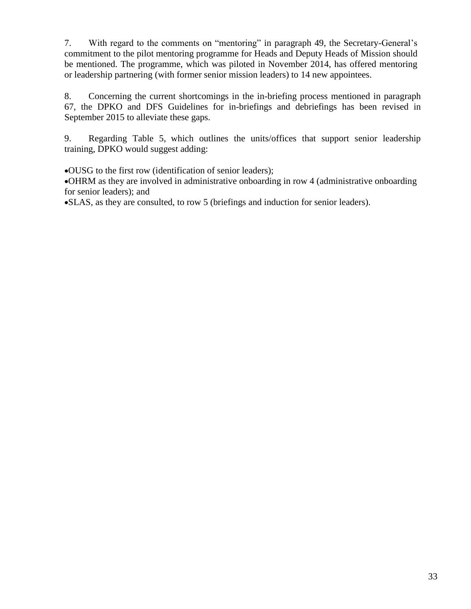7. With regard to the comments on "mentoring" in paragraph 49, the Secretary-General's commitment to the pilot mentoring programme for Heads and Deputy Heads of Mission should be mentioned. The programme, which was piloted in November 2014, has offered mentoring or leadership partnering (with former senior mission leaders) to 14 new appointees.

8. Concerning the current shortcomings in the in-briefing process mentioned in paragraph 67, the DPKO and DFS Guidelines for in-briefings and debriefings has been revised in September 2015 to alleviate these gaps.

9. Regarding Table 5, which outlines the units/offices that support senior leadership training, DPKO would suggest adding:

OUSG to the first row (identification of senior leaders);

OHRM as they are involved in administrative onboarding in row 4 (administrative onboarding for senior leaders); and

SLAS, as they are consulted, to row 5 (briefings and induction for senior leaders).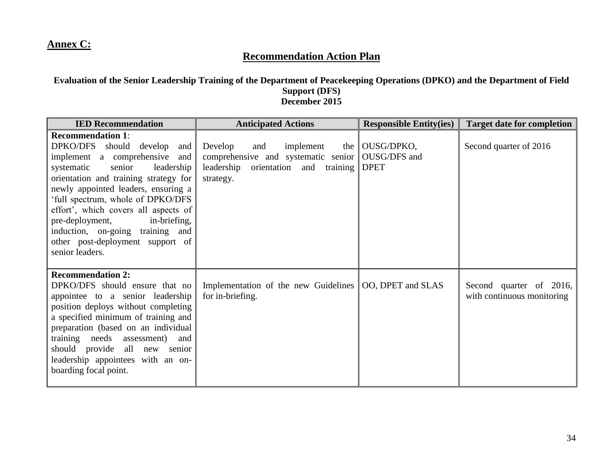## **Annex C:**

## **Recommendation Action Plan**

### **Evaluation of the Senior Leadership Training of the Department of Peacekeeping Operations (DPKO) and the Department of Field Support (DFS) December 2015**

| <b>IED Recommendation</b>                                                                                                                                                                                                                                                                                                                                  | <b>Anticipated Actions</b>                                                                                                                    | <b>Responsible Entity(ies)</b>                        | <b>Target date for completion</b>                     |
|------------------------------------------------------------------------------------------------------------------------------------------------------------------------------------------------------------------------------------------------------------------------------------------------------------------------------------------------------------|-----------------------------------------------------------------------------------------------------------------------------------------------|-------------------------------------------------------|-------------------------------------------------------|
| <b>Recommendation 1:</b><br>DPKO/DFS should develop<br>and<br>implement a comprehensive<br>and<br>senior<br>leadership<br>systematic<br>orientation and training strategy for<br>newly appointed leaders, ensuring a                                                                                                                                       | Develop<br>and<br>implement<br>comprehensive and systematic senior $\parallel$<br>leadership<br>orientation and<br>training $\ $<br>strategy. | the $\vert$ OUSG/DPKO,<br>OUSG/DFS and<br><b>DPET</b> | Second quarter of 2016                                |
| 'full spectrum, whole of DPKO/DFS<br>effort', which covers all aspects of<br>pre-deployment,<br>in-briefing,<br>induction, on-going training and<br>other post-deployment support of<br>senior leaders.                                                                                                                                                    |                                                                                                                                               |                                                       |                                                       |
| <b>Recommendation 2:</b><br>DPKO/DFS should ensure that no<br>appointee to a senior leadership<br>position deploys without completing<br>a specified minimum of training and<br>preparation (based on an individual<br>training needs assessment)<br>and<br>should provide all new<br>senior<br>leadership appointees with an on-<br>boarding focal point. | Implementation of the new Guidelines   OO, DPET and SLAS<br>for in-briefing.                                                                  |                                                       | Second quarter of 2016,<br>with continuous monitoring |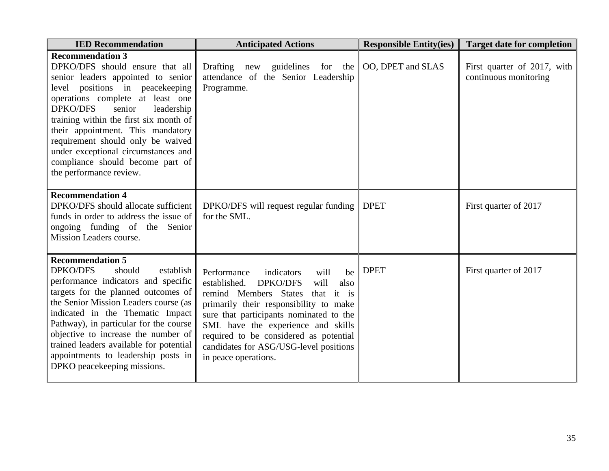| <b>IED Recommendation</b>                                                                                                                                                                                                                                                                                                                                                                                                                    | <b>Anticipated Actions</b>                                                                                                                                                                                                                                                                                                                                               | <b>Responsible Entity(ies)</b> | <b>Target date for completion</b>                    |  |
|----------------------------------------------------------------------------------------------------------------------------------------------------------------------------------------------------------------------------------------------------------------------------------------------------------------------------------------------------------------------------------------------------------------------------------------------|--------------------------------------------------------------------------------------------------------------------------------------------------------------------------------------------------------------------------------------------------------------------------------------------------------------------------------------------------------------------------|--------------------------------|------------------------------------------------------|--|
| <b>Recommendation 3</b><br>DPKO/DFS should ensure that all<br>senior leaders appointed to senior<br>level positions in peacekeeping<br>operations complete at least one<br><b>DPKO/DFS</b><br>senior<br>leadership<br>training within the first six month of<br>their appointment. This mandatory<br>requirement should only be waived<br>under exceptional circumstances and<br>compliance should become part of<br>the performance review. | Drafting new guidelines for the<br>attendance of the Senior Leadership<br>Programme.                                                                                                                                                                                                                                                                                     | OO, DPET and SLAS              | First quarter of 2017, with<br>continuous monitoring |  |
| <b>Recommendation 4</b><br>DPKO/DFS should allocate sufficient<br>funds in order to address the issue of<br>ongoing funding of the Senior<br>Mission Leaders course.                                                                                                                                                                                                                                                                         | DPKO/DFS will request regular funding<br>for the SML.                                                                                                                                                                                                                                                                                                                    | <b>DPET</b>                    | First quarter of 2017                                |  |
| <b>Recommendation 5</b><br><b>DPKO/DFS</b><br>should<br>establish<br>performance indicators and specific<br>targets for the planned outcomes of<br>the Senior Mission Leaders course (as<br>indicated in the Thematic Impact<br>Pathway), in particular for the course<br>objective to increase the number of<br>trained leaders available for potential<br>appointments to leadership posts in<br>DPKO peacekeeping missions.               | Performance<br>indicators<br>will<br>be<br>established.<br><b>DPKO/DFS</b><br>will<br>also<br>that it is<br>remind Members States<br>primarily their responsibility to make<br>sure that participants nominated to the<br>SML have the experience and skills<br>required to be considered as potential<br>candidates for ASG/USG-level positions<br>in peace operations. | <b>DPET</b>                    | First quarter of 2017                                |  |